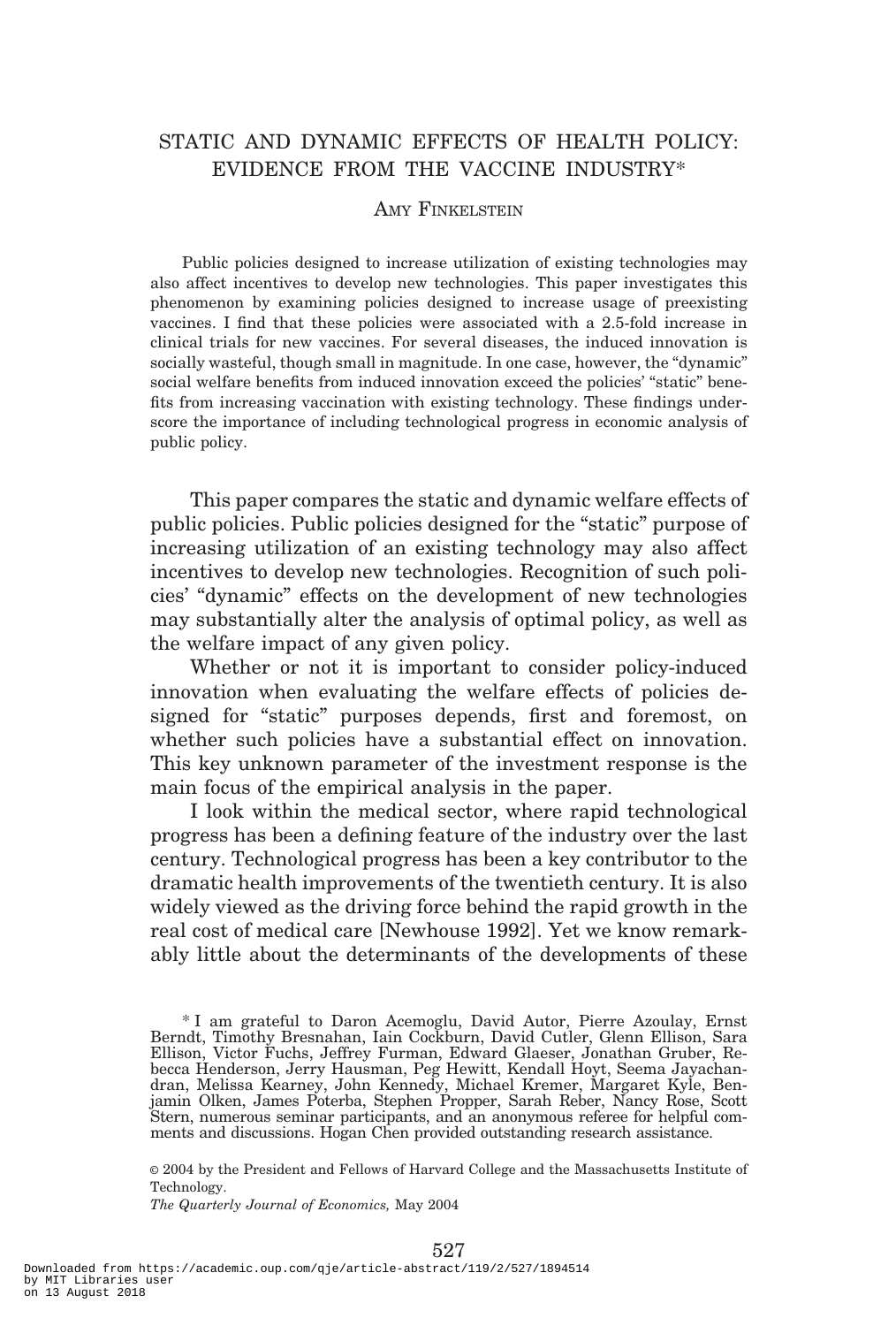# STATIC AND DYNAMIC EFFECTS OF HEALTH POLICY: EVIDENCE FROM THE VACCINE INDUSTRY\*

### AMY FINKELSTEIN

Public policies designed to increase utilization of existing technologies may also affect incentives to develop new technologies. This paper investigates this phenomenon by examining policies designed to increase usage of preexisting vaccines. I find that these policies were associated with a 2.5-fold increase in clinical trials for new vaccines. For several diseases, the induced innovation is socially wasteful, though small in magnitude. In one case, however, the "dynamic" social welfare benefits from induced innovation exceed the policies' "static" benefits from increasing vaccination with existing technology. These findings underscore the importance of including technological progress in economic analysis of public policy.

This paper compares the static and dynamic welfare effects of public policies. Public policies designed for the "static" purpose of increasing utilization of an existing technology may also affect incentives to develop new technologies. Recognition of such policies' "dynamic" effects on the development of new technologies may substantially alter the analysis of optimal policy, as well as the welfare impact of any given policy.

Whether or not it is important to consider policy-induced innovation when evaluating the welfare effects of policies designed for "static" purposes depends, first and foremost, on whether such policies have a substantial effect on innovation. This key unknown parameter of the investment response is the main focus of the empirical analysis in the paper.

I look within the medical sector, where rapid technological progress has been a defining feature of the industry over the last century. Technological progress has been a key contributor to the dramatic health improvements of the twentieth century. It is also widely viewed as the driving force behind the rapid growth in the real cost of medical care [Newhouse 1992]. Yet we know remarkably little about the determinants of the developments of these

© 2004 by the President and Fellows of Harvard College and the Massachusetts Institute of Technology.

*The Quarterly Journal of Economics,* May 2004

<sup>\*</sup> I am grateful to Daron Acemoglu, David Autor, Pierre Azoulay, Ernst Berndt, Timothy Bresnahan, Iain Cockburn, David Cutler, Glenn Ellison, Sara Ellison, Victor Fuchs, Jeffrey Furman, Edward Glaeser, Jonathan Gruber, Re-becca Henderson, Jerry Hausman, Peg Hewitt, Kendall Hoyt, Seema Jayachan-dran, Melissa Kearney, John Kennedy, Michael Kremer, Margaret Kyle, Benjamin Olken, James Poterba, Stephen Propper, Sarah Reber, Nancy Rose, Scott Stern, numerous seminar participants, and an anonymous referee for helpful comments and discussions. Hogan Chen provided outstanding research assistance.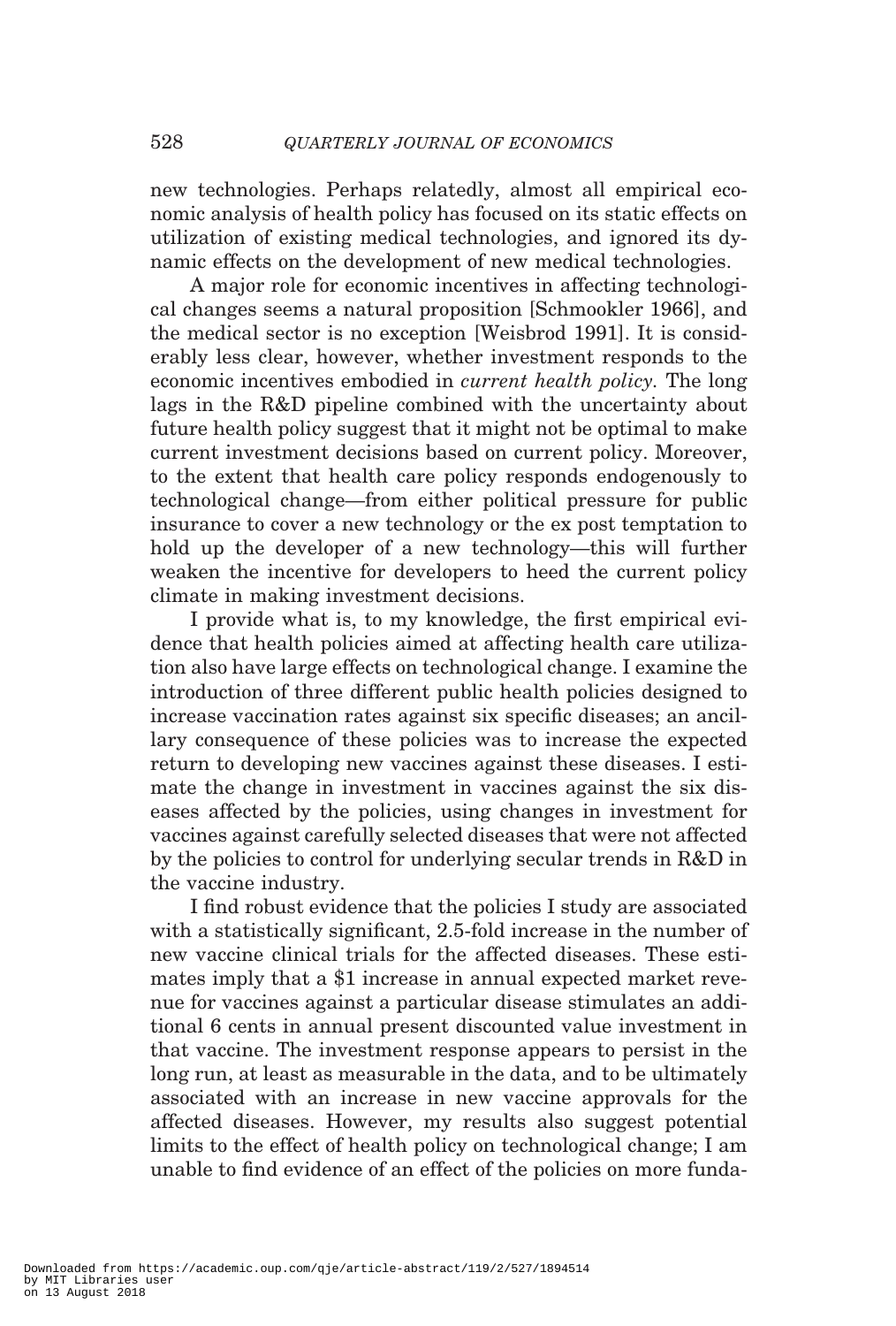new technologies. Perhaps relatedly, almost all empirical economic analysis of health policy has focused on its static effects on utilization of existing medical technologies, and ignored its dynamic effects on the development of new medical technologies.

A major role for economic incentives in affecting technological changes seems a natural proposition [Schmookler 1966], and the medical sector is no exception [Weisbrod 1991]. It is considerably less clear, however, whether investment responds to the economic incentives embodied in *current health policy.* The long lags in the R&D pipeline combined with the uncertainty about future health policy suggest that it might not be optimal to make current investment decisions based on current policy. Moreover, to the extent that health care policy responds endogenously to technological change—from either political pressure for public insurance to cover a new technology or the ex post temptation to hold up the developer of a new technology—this will further weaken the incentive for developers to heed the current policy climate in making investment decisions.

I provide what is, to my knowledge, the first empirical evidence that health policies aimed at affecting health care utilization also have large effects on technological change. I examine the introduction of three different public health policies designed to increase vaccination rates against six specific diseases; an ancillary consequence of these policies was to increase the expected return to developing new vaccines against these diseases. I estimate the change in investment in vaccines against the six diseases affected by the policies, using changes in investment for vaccines against carefully selected diseases that were not affected by the policies to control for underlying secular trends in R&D in the vaccine industry.

I find robust evidence that the policies I study are associated with a statistically significant, 2.5-fold increase in the number of new vaccine clinical trials for the affected diseases. These estimates imply that a \$1 increase in annual expected market revenue for vaccines against a particular disease stimulates an additional 6 cents in annual present discounted value investment in that vaccine. The investment response appears to persist in the long run, at least as measurable in the data, and to be ultimately associated with an increase in new vaccine approvals for the affected diseases. However, my results also suggest potential limits to the effect of health policy on technological change; I am unable to find evidence of an effect of the policies on more funda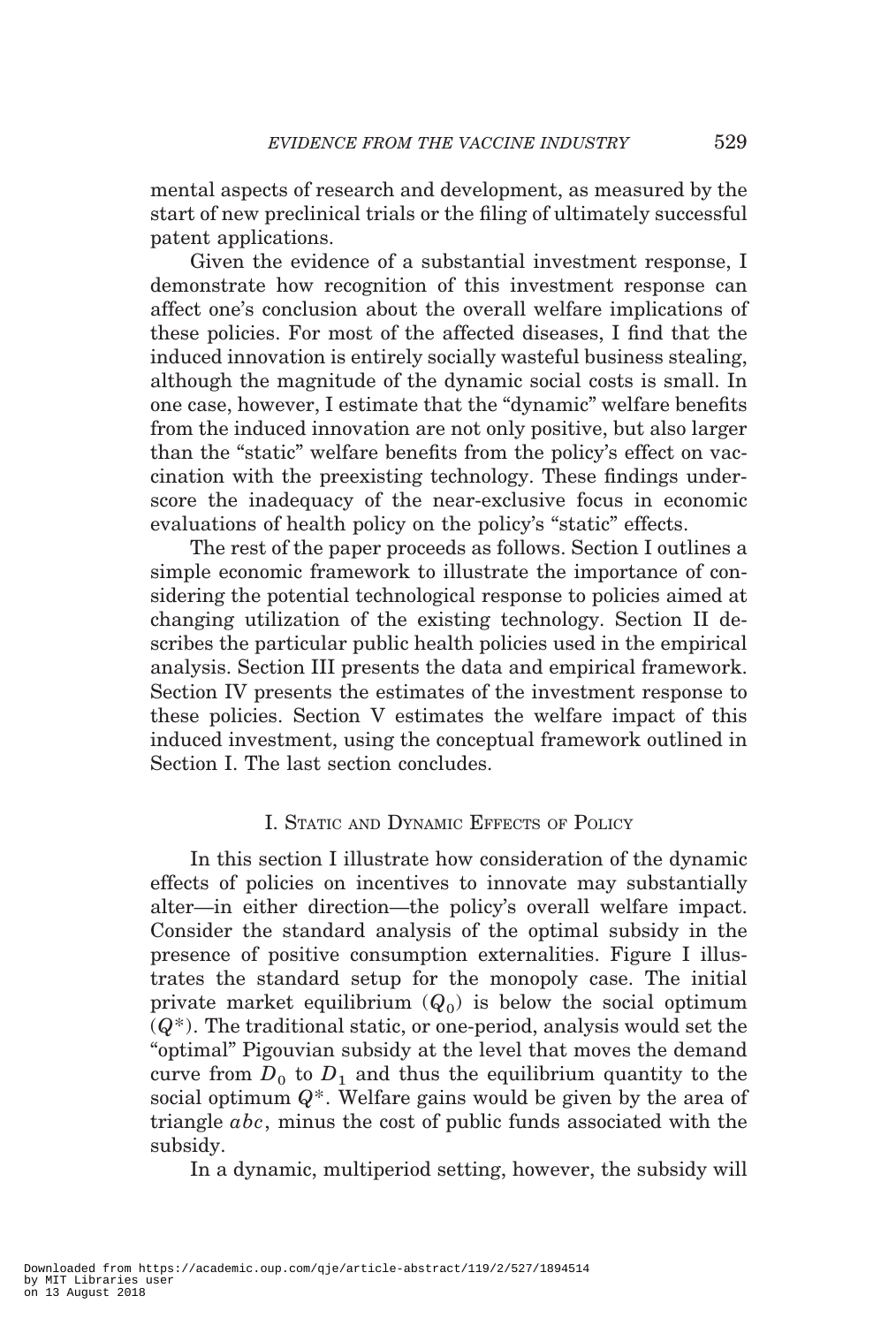mental aspects of research and development, as measured by the start of new preclinical trials or the filing of ultimately successful patent applications.

Given the evidence of a substantial investment response, I demonstrate how recognition of this investment response can affect one's conclusion about the overall welfare implications of these policies. For most of the affected diseases, I find that the induced innovation is entirely socially wasteful business stealing, although the magnitude of the dynamic social costs is small. In one case, however, I estimate that the "dynamic" welfare benefits from the induced innovation are not only positive, but also larger than the "static" welfare benefits from the policy's effect on vaccination with the preexisting technology. These findings underscore the inadequacy of the near-exclusive focus in economic evaluations of health policy on the policy's "static" effects.

The rest of the paper proceeds as follows. Section I outlines a simple economic framework to illustrate the importance of considering the potential technological response to policies aimed at changing utilization of the existing technology. Section II describes the particular public health policies used in the empirical analysis. Section III presents the data and empirical framework. Section IV presents the estimates of the investment response to these policies. Section V estimates the welfare impact of this induced investment, using the conceptual framework outlined in Section I. The last section concludes.

## I. STATIC AND DYNAMIC EFFECTS OF POLICY

In this section I illustrate how consideration of the dynamic effects of policies on incentives to innovate may substantially alter—in either direction—the policy's overall welfare impact. Consider the standard analysis of the optimal subsidy in the presence of positive consumption externalities. Figure I illustrates the standard setup for the monopoly case. The initial private market equilibrium  $(Q_0)$  is below the social optimum (*Q*\*). The traditional static, or one-period, analysis would set the "optimal" Pigouvian subsidy at the level that moves the demand curve from  $D_0$  to  $D_1$  and thus the equilibrium quantity to the social optimum *Q*\*. Welfare gains would be given by the area of triangle *abc*, minus the cost of public funds associated with the subsidy.

In a dynamic, multiperiod setting, however, the subsidy will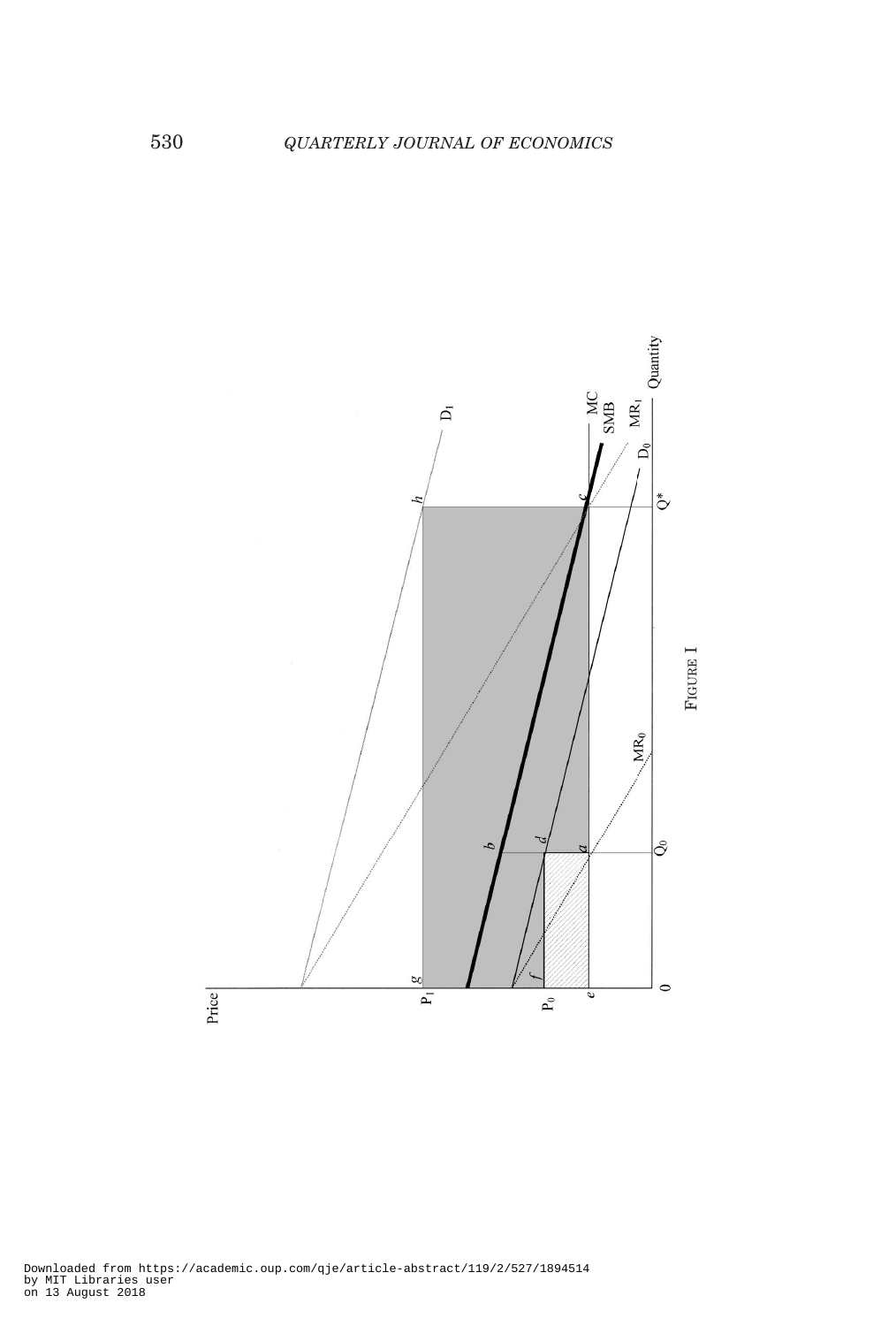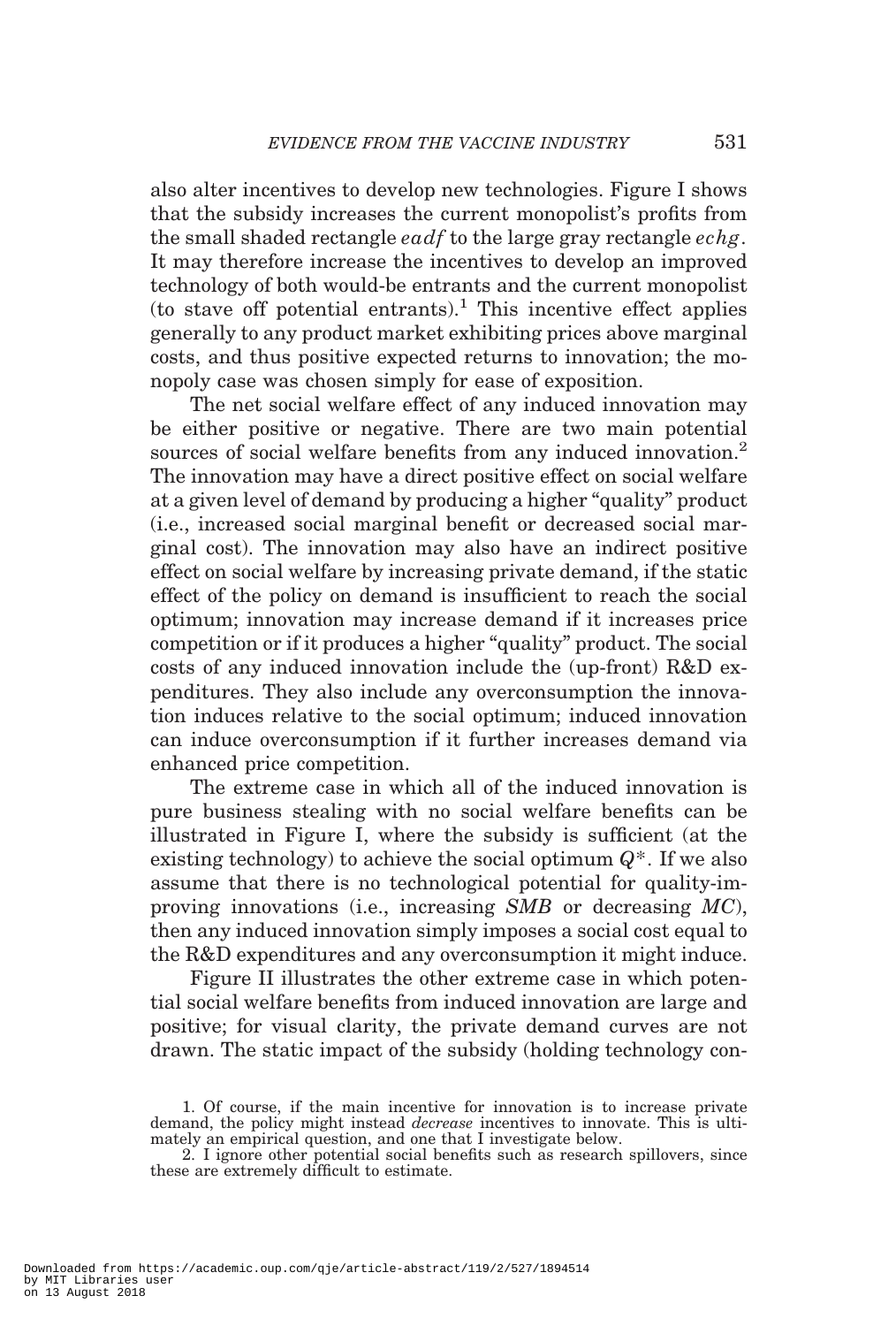also alter incentives to develop new technologies. Figure I shows that the subsidy increases the current monopolist's profits from the small shaded rectangle *eadf* to the large gray rectangle *echg*. It may therefore increase the incentives to develop an improved technology of both would-be entrants and the current monopolist (to stave off potential entrants).<sup>1</sup> This incentive effect applies generally to any product market exhibiting prices above marginal costs, and thus positive expected returns to innovation; the monopoly case was chosen simply for ease of exposition.

The net social welfare effect of any induced innovation may be either positive or negative. There are two main potential sources of social welfare benefits from any induced innovation.<sup>2</sup> The innovation may have a direct positive effect on social welfare at a given level of demand by producing a higher "quality" product (i.e., increased social marginal benefit or decreased social marginal cost). The innovation may also have an indirect positive effect on social welfare by increasing private demand, if the static effect of the policy on demand is insufficient to reach the social optimum; innovation may increase demand if it increases price competition or if it produces a higher "quality" product. The social costs of any induced innovation include the (up-front) R&D expenditures. They also include any overconsumption the innovation induces relative to the social optimum; induced innovation can induce overconsumption if it further increases demand via enhanced price competition.

The extreme case in which all of the induced innovation is pure business stealing with no social welfare benefits can be illustrated in Figure I, where the subsidy is sufficient (at the existing technology) to achieve the social optimum *Q*\*. If we also assume that there is no technological potential for quality-improving innovations (i.e., increasing *SMB* or decreasing *MC*), then any induced innovation simply imposes a social cost equal to the R&D expenditures and any overconsumption it might induce.

Figure II illustrates the other extreme case in which potential social welfare benefits from induced innovation are large and positive; for visual clarity, the private demand curves are not drawn. The static impact of the subsidy (holding technology con-

<sup>1.</sup> Of course, if the main incentive for innovation is to increase private demand, the policy might instead *decrease* incentives to innovate. This is ultimately an empirical question, and one that I investigate below.

<sup>2.</sup> I ignore other potential social benefits such as research spillovers, since these are extremely difficult to estimate.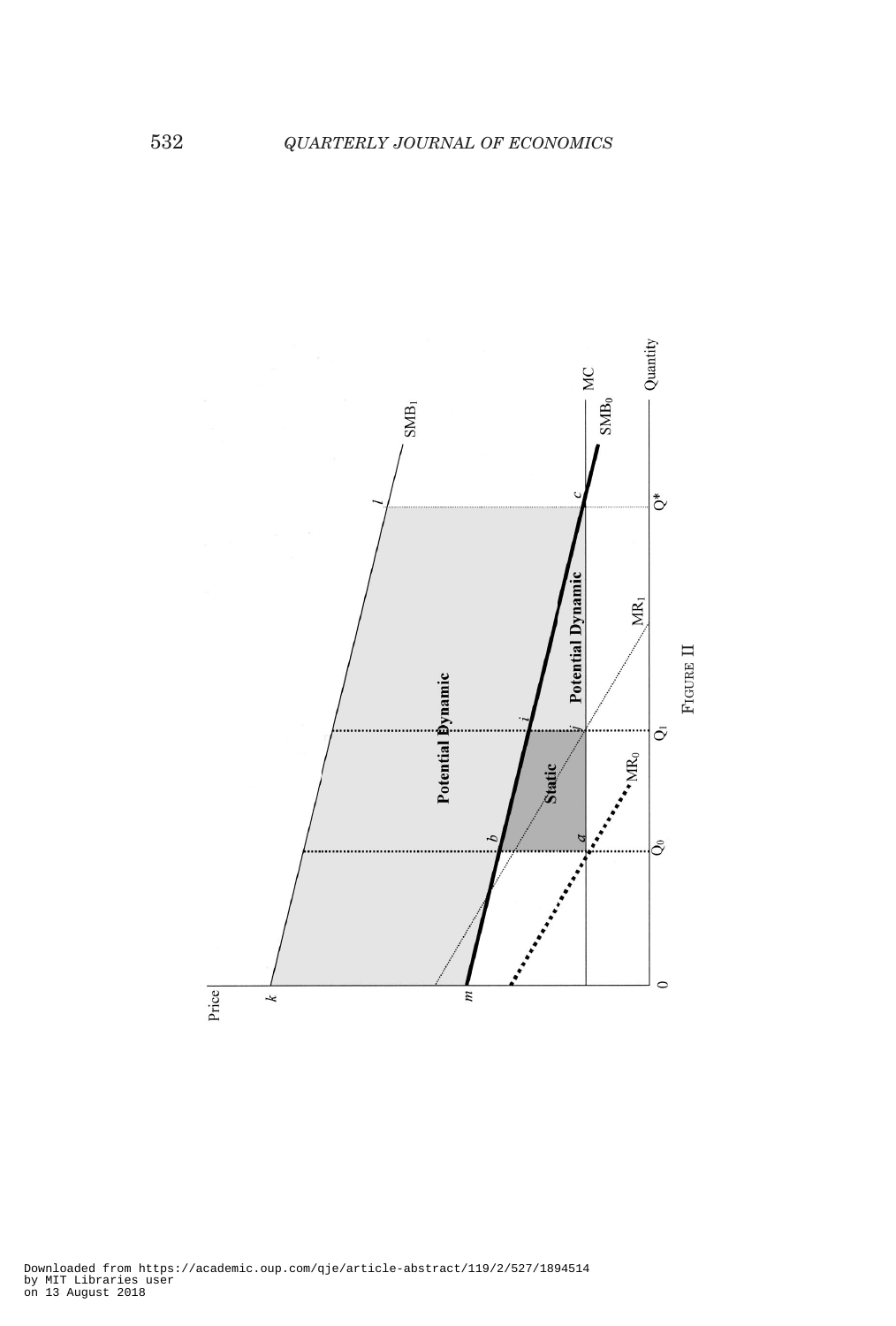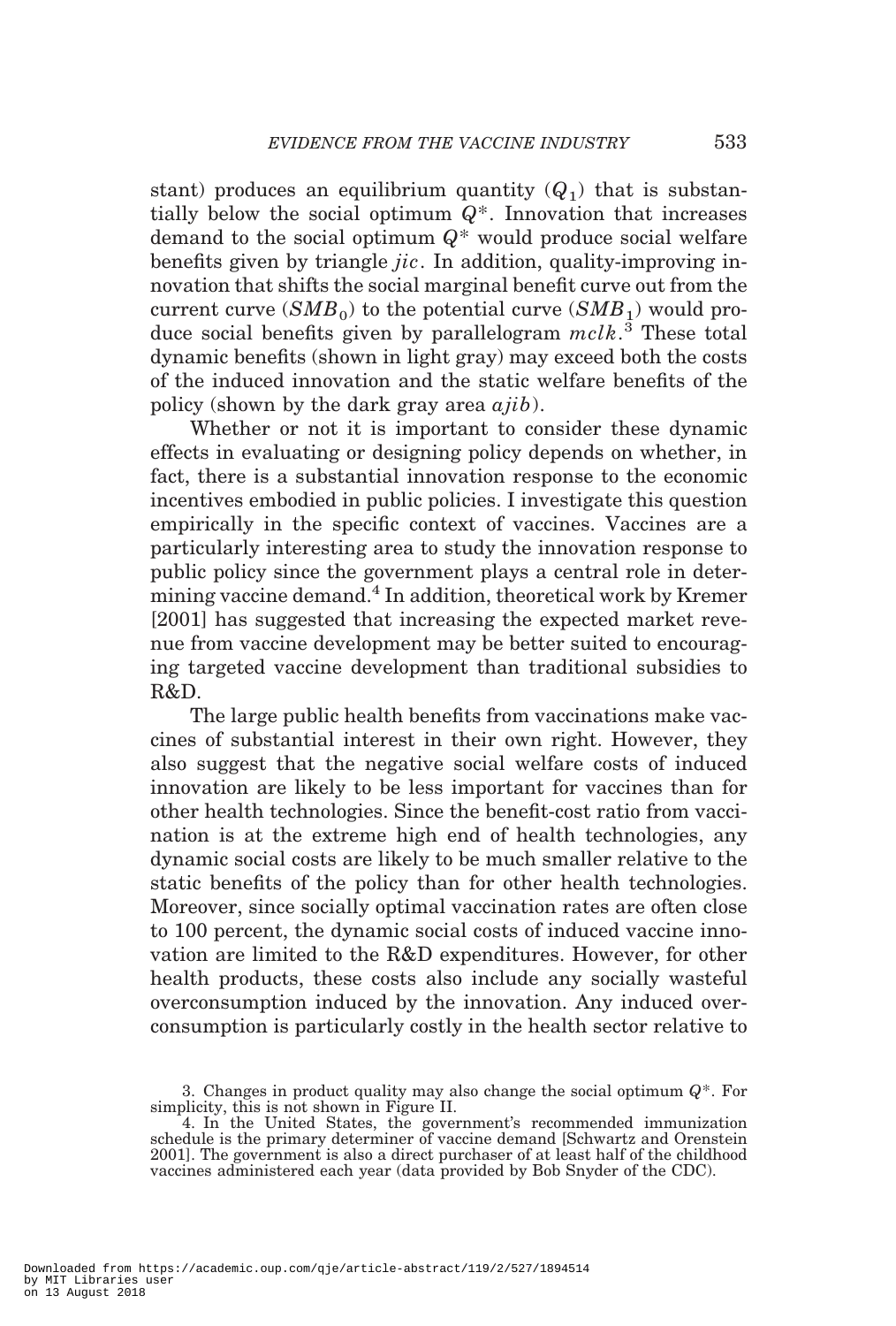stant) produces an equilibrium quantity  $(Q_1)$  that is substantially below the social optimum *Q*\*. Innovation that increases demand to the social optimum *Q*\* would produce social welfare benefits given by triangle *jic*. In addition, quality-improving innovation that shifts the social marginal benefit curve out from the current curve  $(SMB_0)$  to the potential curve  $(SMB_1)$  would produce social benefits given by parallelogram *mclk*. <sup>3</sup> These total dynamic benefits (shown in light gray) may exceed both the costs of the induced innovation and the static welfare benefits of the policy (shown by the dark gray area *ajib*).

Whether or not it is important to consider these dynamic effects in evaluating or designing policy depends on whether, in fact, there is a substantial innovation response to the economic incentives embodied in public policies. I investigate this question empirically in the specific context of vaccines. Vaccines are a particularly interesting area to study the innovation response to public policy since the government plays a central role in determining vaccine demand.4 In addition, theoretical work by Kremer [2001] has suggested that increasing the expected market revenue from vaccine development may be better suited to encouraging targeted vaccine development than traditional subsidies to R&D.

The large public health benefits from vaccinations make vaccines of substantial interest in their own right. However, they also suggest that the negative social welfare costs of induced innovation are likely to be less important for vaccines than for other health technologies. Since the benefit-cost ratio from vaccination is at the extreme high end of health technologies, any dynamic social costs are likely to be much smaller relative to the static benefits of the policy than for other health technologies. Moreover, since socially optimal vaccination rates are often close to 100 percent, the dynamic social costs of induced vaccine innovation are limited to the R&D expenditures. However, for other health products, these costs also include any socially wasteful overconsumption induced by the innovation. Any induced overconsumption is particularly costly in the health sector relative to

<sup>3.</sup> Changes in product quality may also change the social optimum *Q*\*. For simplicity, this is not shown in Figure II.

<sup>4.</sup> In the United States, the government's recommended immunization schedule is the primary determiner of vaccine demand [Schwartz and Orenstein 2001]. The government is also a direct purchaser of at least half of the childhood vaccines administered each year (data provided by Bob Snyder of the CDC).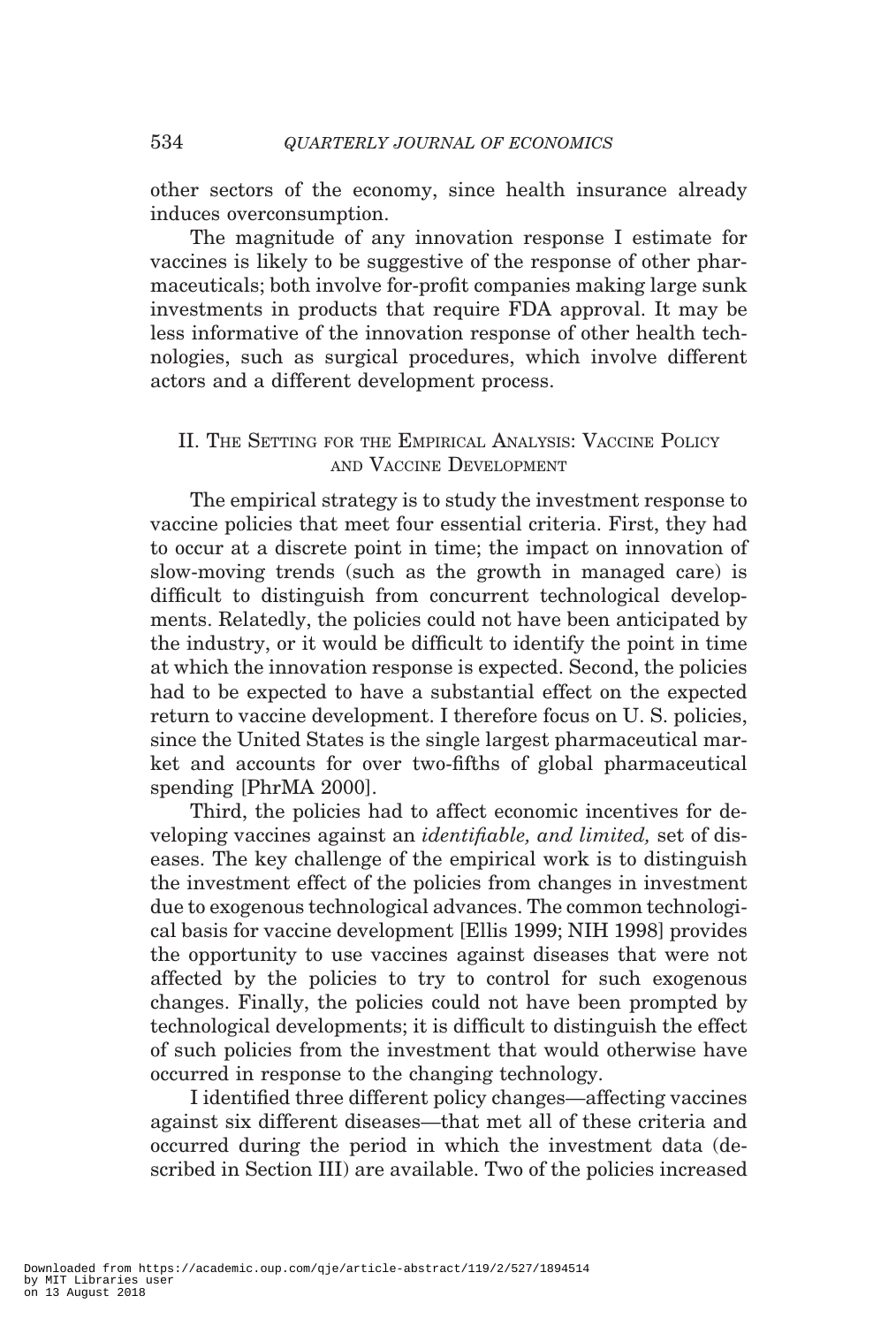other sectors of the economy, since health insurance already induces overconsumption.

The magnitude of any innovation response I estimate for vaccines is likely to be suggestive of the response of other pharmaceuticals; both involve for-profit companies making large sunk investments in products that require FDA approval. It may be less informative of the innovation response of other health technologies, such as surgical procedures, which involve different actors and a different development process.

## II. THE SETTING FOR THE EMPIRICAL ANALYSIS: VACCINE POLICY AND VACCINE DEVELOPMENT

The empirical strategy is to study the investment response to vaccine policies that meet four essential criteria. First, they had to occur at a discrete point in time; the impact on innovation of slow-moving trends (such as the growth in managed care) is difficult to distinguish from concurrent technological developments. Relatedly, the policies could not have been anticipated by the industry, or it would be difficult to identify the point in time at which the innovation response is expected. Second, the policies had to be expected to have a substantial effect on the expected return to vaccine development. I therefore focus on U. S. policies, since the United States is the single largest pharmaceutical market and accounts for over two-fifths of global pharmaceutical spending [PhrMA 2000].

Third, the policies had to affect economic incentives for developing vaccines against an *identifiable, and limited,* set of diseases. The key challenge of the empirical work is to distinguish the investment effect of the policies from changes in investment due to exogenous technological advances. The common technological basis for vaccine development [Ellis 1999; NIH 1998] provides the opportunity to use vaccines against diseases that were not affected by the policies to try to control for such exogenous changes. Finally, the policies could not have been prompted by technological developments; it is difficult to distinguish the effect of such policies from the investment that would otherwise have occurred in response to the changing technology.

I identified three different policy changes—affecting vaccines against six different diseases—that met all of these criteria and occurred during the period in which the investment data (described in Section III) are available. Two of the policies increased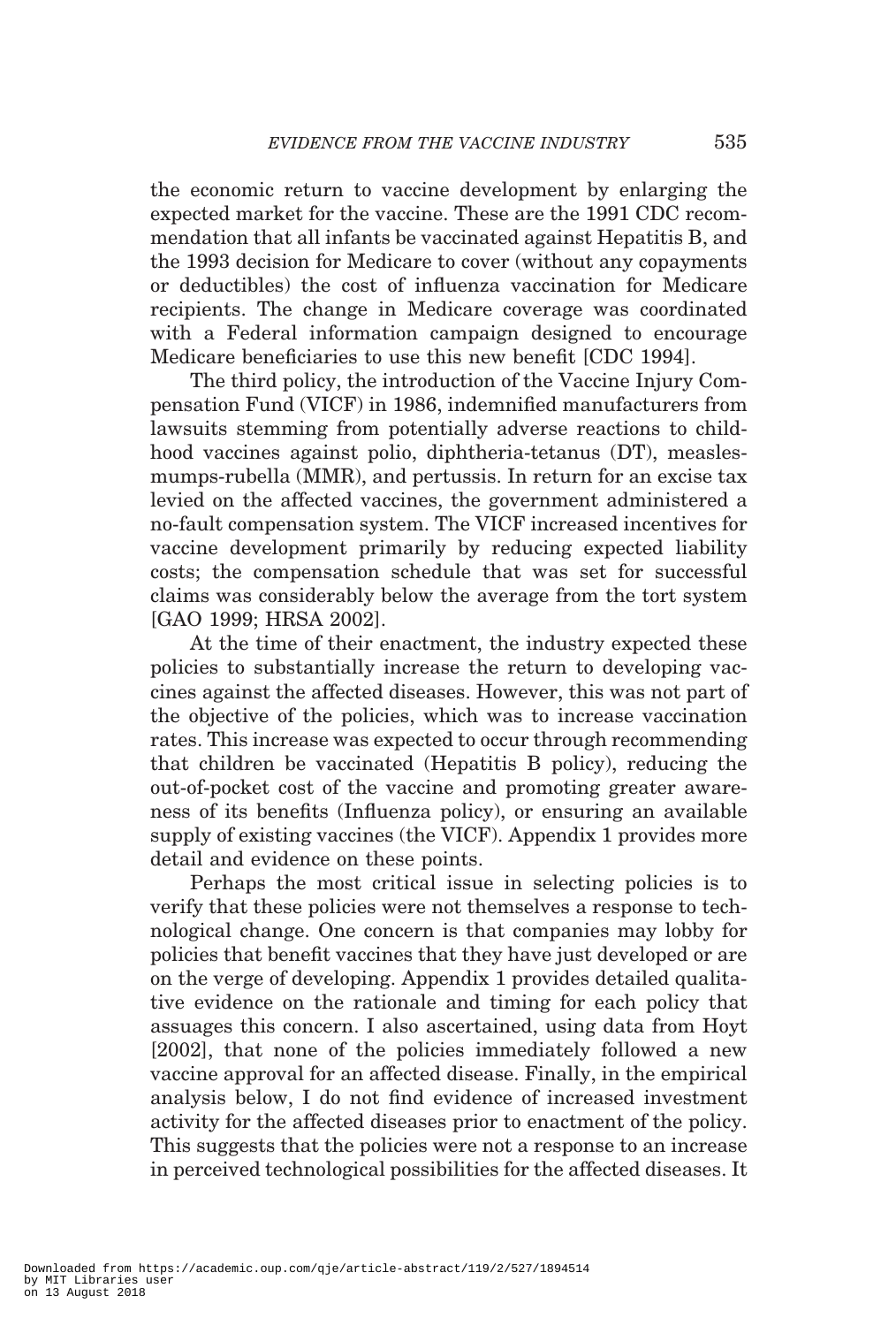the economic return to vaccine development by enlarging the expected market for the vaccine. These are the 1991 CDC recommendation that all infants be vaccinated against Hepatitis B, and the 1993 decision for Medicare to cover (without any copayments or deductibles) the cost of influenza vaccination for Medicare recipients. The change in Medicare coverage was coordinated with a Federal information campaign designed to encourage Medicare beneficiaries to use this new benefit [CDC 1994].

The third policy, the introduction of the Vaccine Injury Compensation Fund (VICF) in 1986, indemnified manufacturers from lawsuits stemming from potentially adverse reactions to childhood vaccines against polio, diphtheria-tetanus (DT), measlesmumps-rubella (MMR), and pertussis. In return for an excise tax levied on the affected vaccines, the government administered a no-fault compensation system. The VICF increased incentives for vaccine development primarily by reducing expected liability costs; the compensation schedule that was set for successful claims was considerably below the average from the tort system [GAO 1999; HRSA 2002].

At the time of their enactment, the industry expected these policies to substantially increase the return to developing vaccines against the affected diseases. However, this was not part of the objective of the policies, which was to increase vaccination rates. This increase was expected to occur through recommending that children be vaccinated (Hepatitis B policy), reducing the out-of-pocket cost of the vaccine and promoting greater awareness of its benefits (Influenza policy), or ensuring an available supply of existing vaccines (the VICF). Appendix 1 provides more detail and evidence on these points.

Perhaps the most critical issue in selecting policies is to verify that these policies were not themselves a response to technological change. One concern is that companies may lobby for policies that benefit vaccines that they have just developed or are on the verge of developing. Appendix 1 provides detailed qualitative evidence on the rationale and timing for each policy that assuages this concern. I also ascertained, using data from Hoyt [2002], that none of the policies immediately followed a new vaccine approval for an affected disease. Finally, in the empirical analysis below, I do not find evidence of increased investment activity for the affected diseases prior to enactment of the policy. This suggests that the policies were not a response to an increase in perceived technological possibilities for the affected diseases. It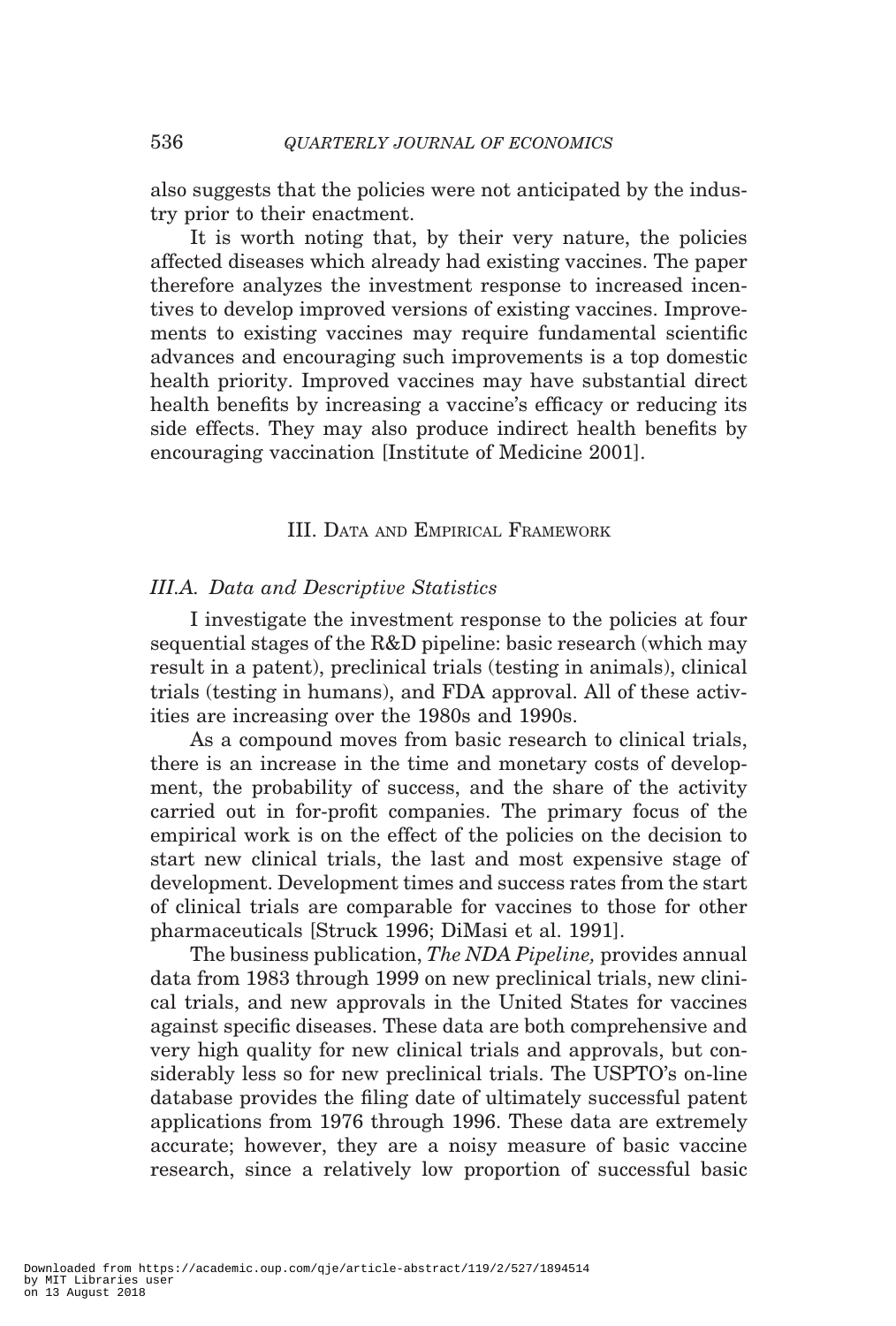also suggests that the policies were not anticipated by the industry prior to their enactment.

It is worth noting that, by their very nature, the policies affected diseases which already had existing vaccines. The paper therefore analyzes the investment response to increased incentives to develop improved versions of existing vaccines. Improvements to existing vaccines may require fundamental scientific advances and encouraging such improvements is a top domestic health priority. Improved vaccines may have substantial direct health benefits by increasing a vaccine's efficacy or reducing its side effects. They may also produce indirect health benefits by encouraging vaccination [Institute of Medicine 2001].

### III. DATA AND EMPIRICAL FRAMEWORK

### *III.A. Data and Descriptive Statistics*

I investigate the investment response to the policies at four sequential stages of the R&D pipeline: basic research (which may result in a patent), preclinical trials (testing in animals), clinical trials (testing in humans), and FDA approval. All of these activities are increasing over the 1980s and 1990s.

As a compound moves from basic research to clinical trials, there is an increase in the time and monetary costs of development, the probability of success, and the share of the activity carried out in for-profit companies. The primary focus of the empirical work is on the effect of the policies on the decision to start new clinical trials, the last and most expensive stage of development. Development times and success rates from the start of clinical trials are comparable for vaccines to those for other pharmaceuticals [Struck 1996; DiMasi et al. 1991].

The business publication, *The NDA Pipeline,* provides annual data from 1983 through 1999 on new preclinical trials, new clinical trials, and new approvals in the United States for vaccines against specific diseases. These data are both comprehensive and very high quality for new clinical trials and approvals, but considerably less so for new preclinical trials. The USPTO's on-line database provides the filing date of ultimately successful patent applications from 1976 through 1996. These data are extremely accurate; however, they are a noisy measure of basic vaccine research, since a relatively low proportion of successful basic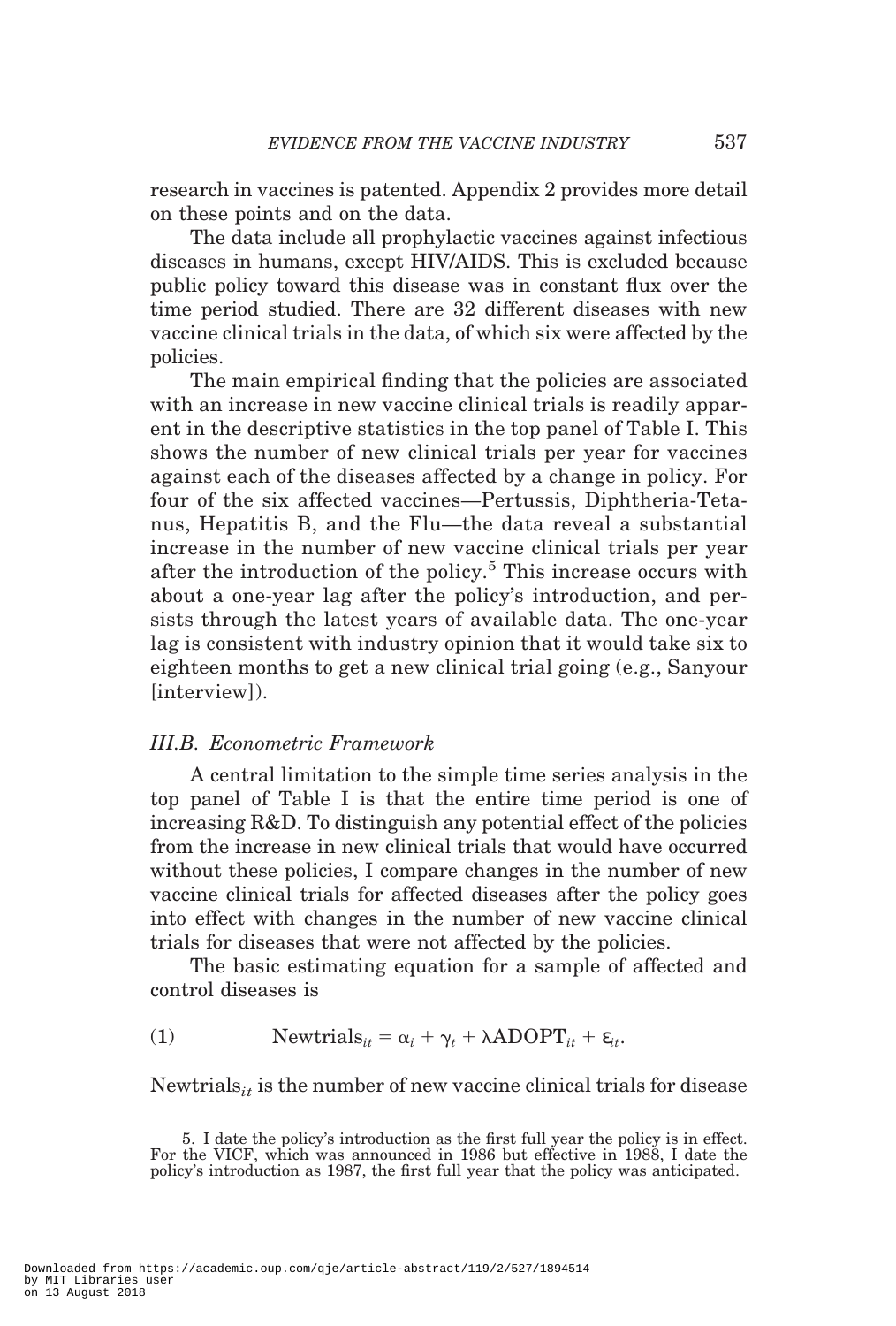research in vaccines is patented. Appendix 2 provides more detail on these points and on the data.

The data include all prophylactic vaccines against infectious diseases in humans, except HIV/AIDS. This is excluded because public policy toward this disease was in constant flux over the time period studied. There are 32 different diseases with new vaccine clinical trials in the data, of which six were affected by the policies.

The main empirical finding that the policies are associated with an increase in new vaccine clinical trials is readily apparent in the descriptive statistics in the top panel of Table I. This shows the number of new clinical trials per year for vaccines against each of the diseases affected by a change in policy. For four of the six affected vaccines—Pertussis, Diphtheria-Tetanus, Hepatitis B, and the Flu—the data reveal a substantial increase in the number of new vaccine clinical trials per year after the introduction of the policy.<sup>5</sup> This increase occurs with about a one-year lag after the policy's introduction, and persists through the latest years of available data. The one-year lag is consistent with industry opinion that it would take six to eighteen months to get a new clinical trial going (e.g., Sanyour [interview]).

### *III.B. Econometric Framework*

A central limitation to the simple time series analysis in the top panel of Table I is that the entire time period is one of increasing R&D. To distinguish any potential effect of the policies from the increase in new clinical trials that would have occurred without these policies, I compare changes in the number of new vaccine clinical trials for affected diseases after the policy goes into effect with changes in the number of new vaccine clinical trials for diseases that were not affected by the policies.

The basic estimating equation for a sample of affected and control diseases is

(1) 
$$
\text{Newtrials}_{it} = \alpha_i + \gamma_t + \lambda \text{ADOPT}_{it} + \varepsilon_{it}.
$$

Newtrial $s_{it}$  is the number of new vaccine clinical trials for disease

<sup>5.</sup> I date the policy's introduction as the first full year the policy is in effect. For the VICF, which was announced in 1986 but effective in 1988, I date the policy's introduction as 1987, the first full year that the policy was anticipated.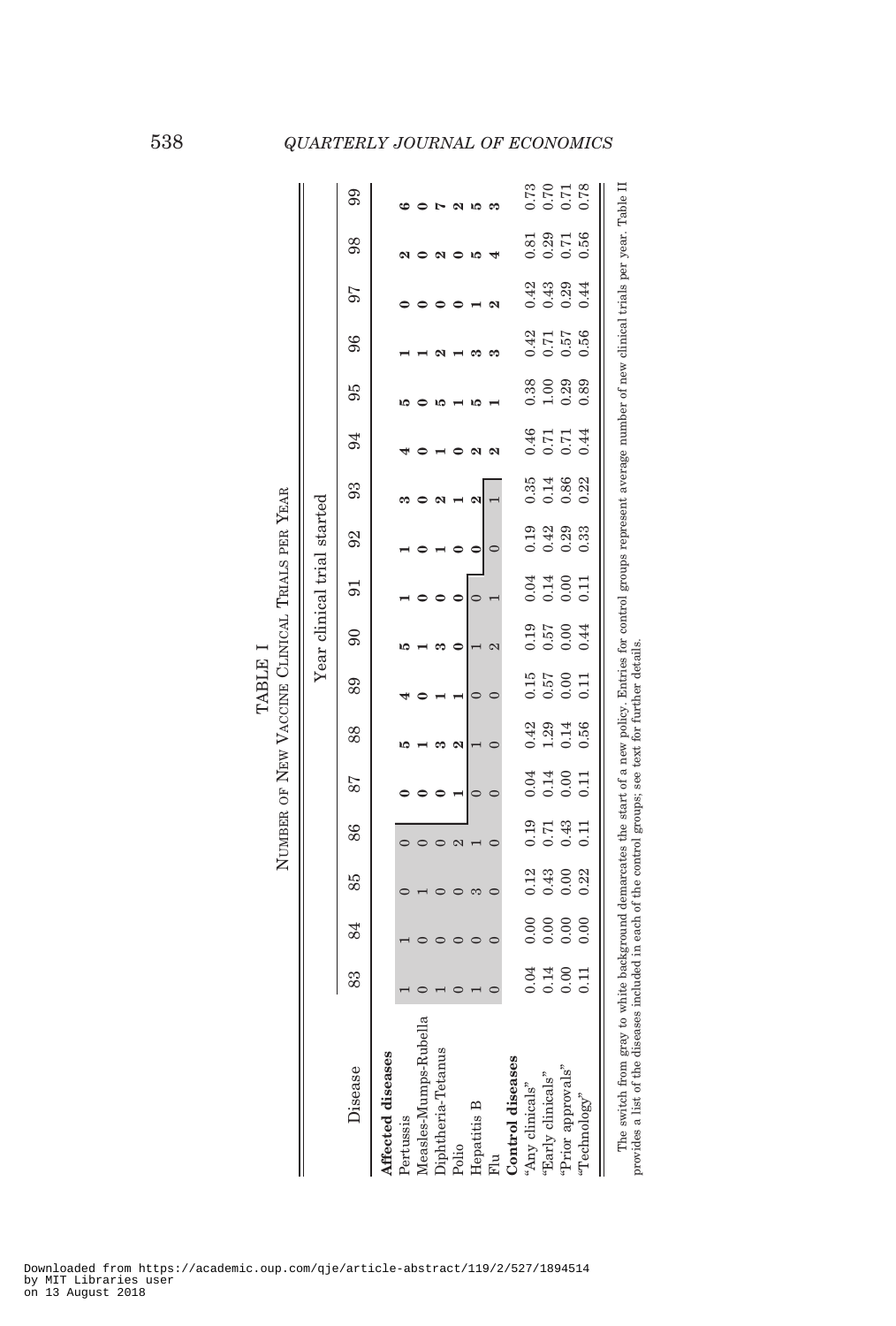|                         |                 |      |      |                   |      |      |      |                | Year clinical trial started |                |      |      |      |      |      |                 |      |
|-------------------------|-----------------|------|------|-------------------|------|------|------|----------------|-----------------------------|----------------|------|------|------|------|------|-----------------|------|
| Disease                 | 83              | 84   | 85   | 86                | 87   | 88   | 89   | $\overline{6}$ | 5                           | $\overline{5}$ | 93   | 94   | 55   | 96   | 97   | $\overline{98}$ | 99   |
| Affected diseases       |                 |      |      |                   |      |      |      |                |                             |                |      |      |      |      |      |                 |      |
| Pertussis               |                 |      |      |                   |      |      |      |                |                             |                |      |      |      |      |      |                 |      |
| Measles-Mumps-Rubella   |                 |      |      |                   |      |      |      |                |                             |                |      |      |      |      |      |                 |      |
| Diphtheria-Tetanus      |                 |      |      |                   |      |      |      |                |                             |                |      |      |      |      |      |                 |      |
| Polio                   |                 |      |      | $\mathbf{\Omega}$ |      | N    |      | $\bullet$      |                             |                |      |      |      |      |      |                 |      |
| Hepatitis B             |                 |      |      |                   |      |      |      |                |                             |                | Ñ    |      |      |      |      |                 |      |
| Flu                     |                 |      |      |                   |      |      |      | $\infty$       |                             |                |      |      |      | S    | N    |                 |      |
| <b>Control</b> diseases |                 |      |      |                   |      |      |      |                |                             |                |      |      |      |      |      |                 |      |
| "Any clinicals"         | 0.04            | 0.00 | 0.12 | 0.19              | 0.04 | 0.42 | 0.15 | 0.19           | 0.04                        | 0.19           | 0.35 | 0.46 | 0.38 | 0.42 | 0.42 | 0.81            | 0.73 |
| "Early clinicals"       | 0.14            | 0.00 | 0.43 | 0.71              | 14   | 1.29 | 0.57 | 0.57           | 0.14                        | 0.42           | 0.14 | 0.71 | 001  | 0.71 | 0.43 | 0.29            | 0.70 |
| "Prior approvals"       | 0.00            | 0.00 | 0.00 | 0.43              | 0.00 | 0.14 | 0.00 | 0.00           | 0.00                        | 0.29           | 0.86 | 0.71 | 0.29 | 0.57 | 0.29 | 0.71            | 0.71 |
| "Technology"            | 11 <sub>0</sub> | 0.00 | 0.22 | 11                | 0.11 | 0.56 | 0.11 | 0.44           | 11 <sub>0</sub>             | 0.33           | 0.22 | 0.44 | 0.89 | 0.56 | 0.44 | 0.56            | 0.78 |

|             | br                      |
|-------------|-------------------------|
|             | Ĭ<br>`kı                |
|             | l<br>$\frac{1}{2}$<br>Í |
| <b>THAT</b> | l<br><b>TALKE</b>       |
|             |                         |
|             | D OF                    |
|             |                         |

provides a list of the diseases included in each of the control groups; see text for further details. provides a list of the diseases included in each of the control groups; see text for further details.

# 538 *QUARTERLY JOURNAL OF ECONOMICS*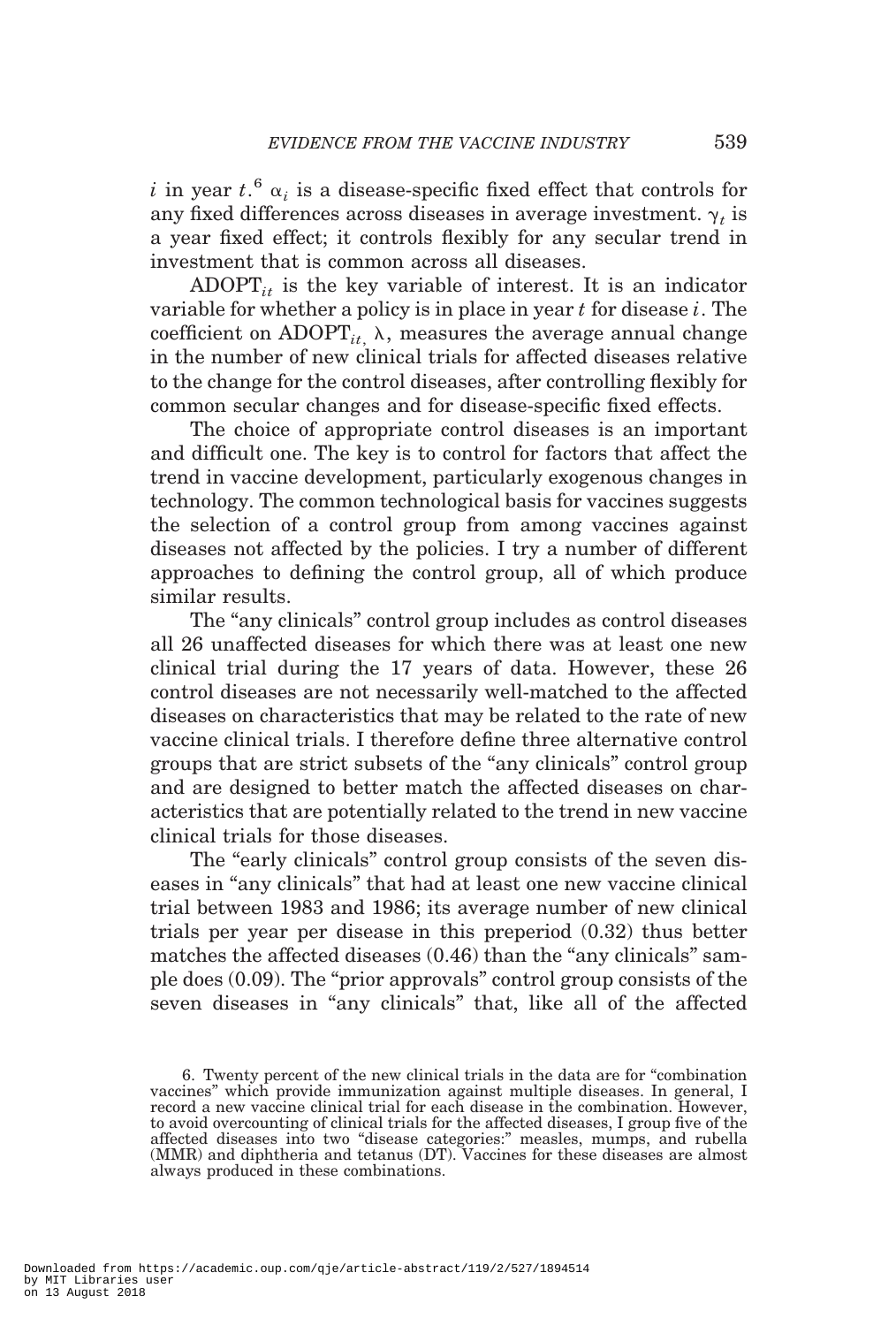*i* in year  $t$ <sup>6</sup>  $\alpha$ <sub>*i*</sub> is a disease-specific fixed effect that controls for any fixed differences across diseases in average investment.  $\gamma_t$  is a year fixed effect; it controls flexibly for any secular trend in investment that is common across all diseases.

ADOPT*it* is the key variable of interest. It is an indicator variable for whether a policy is in place in year *t* for disease *i*. The coefficient on  $\text{ADOPT}_{it}$ ,  $\lambda$ , measures the average annual change in the number of new clinical trials for affected diseases relative to the change for the control diseases, after controlling flexibly for common secular changes and for disease-specific fixed effects.

The choice of appropriate control diseases is an important and difficult one. The key is to control for factors that affect the trend in vaccine development, particularly exogenous changes in technology. The common technological basis for vaccines suggests the selection of a control group from among vaccines against diseases not affected by the policies. I try a number of different approaches to defining the control group, all of which produce similar results.

The "any clinicals" control group includes as control diseases all 26 unaffected diseases for which there was at least one new clinical trial during the 17 years of data. However, these 26 control diseases are not necessarily well-matched to the affected diseases on characteristics that may be related to the rate of new vaccine clinical trials. I therefore define three alternative control groups that are strict subsets of the "any clinicals" control group and are designed to better match the affected diseases on characteristics that are potentially related to the trend in new vaccine clinical trials for those diseases.

The "early clinicals" control group consists of the seven diseases in "any clinicals" that had at least one new vaccine clinical trial between 1983 and 1986; its average number of new clinical trials per year per disease in this preperiod (0.32) thus better matches the affected diseases (0.46) than the "any clinicals" sample does (0.09). The "prior approvals" control group consists of the seven diseases in "any clinicals" that, like all of the affected

<sup>6.</sup> Twenty percent of the new clinical trials in the data are for "combination vaccines" which provide immunization against multiple diseases. In general, I record a new vaccine clinical trial for each disease in the combination. However, to avoid overcounting of clinical trials for the affected diseases, I group five of the affected diseases into two "disease categories:" measles, mumps, and rubella (MMR) and diphtheria and tetanus (DT). Vaccines for these diseases are almost always produced in these combinations.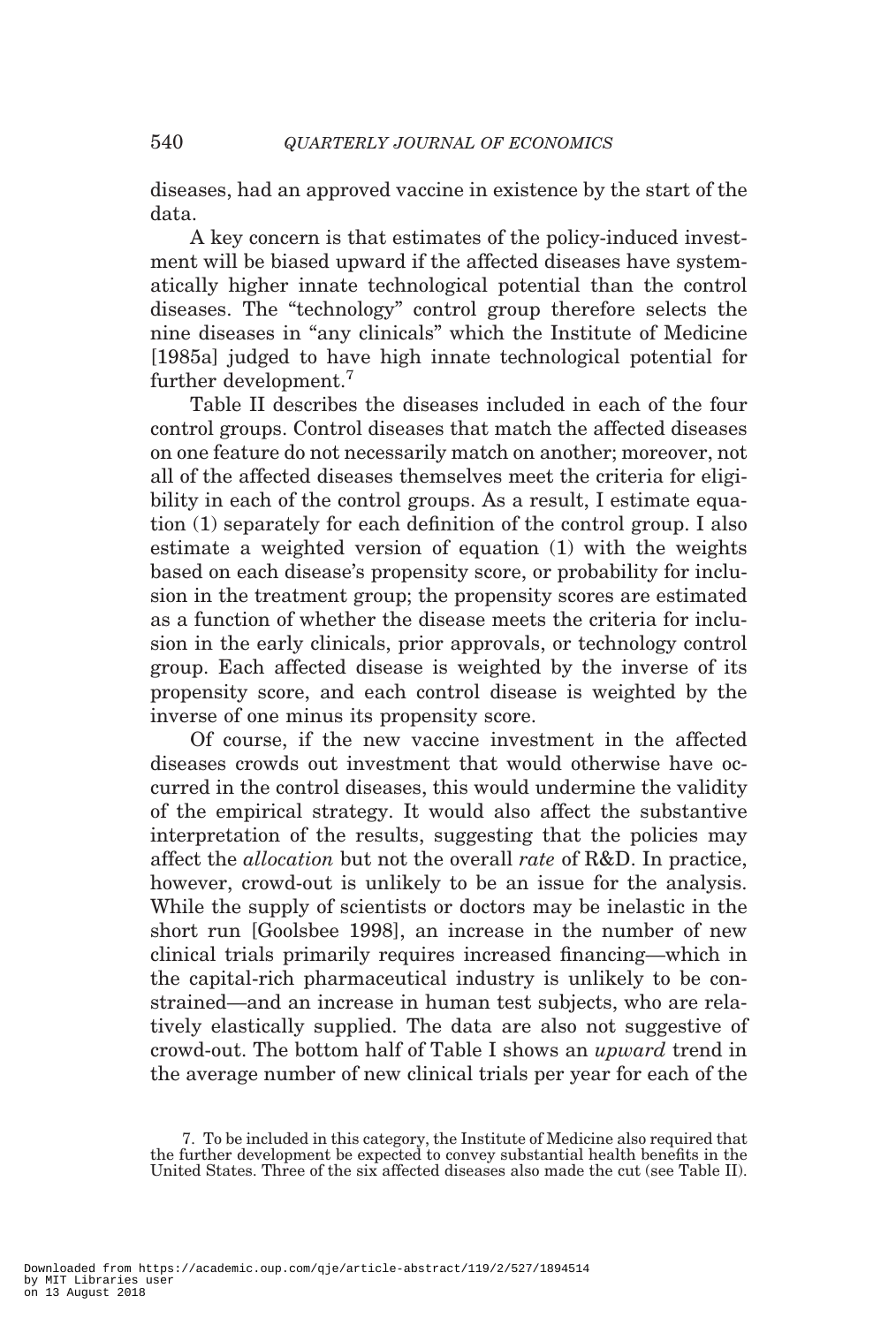diseases, had an approved vaccine in existence by the start of the data.

A key concern is that estimates of the policy-induced investment will be biased upward if the affected diseases have systematically higher innate technological potential than the control diseases. The "technology" control group therefore selects the nine diseases in "any clinicals" which the Institute of Medicine [1985a] judged to have high innate technological potential for further development.<sup>7</sup>

Table II describes the diseases included in each of the four control groups. Control diseases that match the affected diseases on one feature do not necessarily match on another; moreover, not all of the affected diseases themselves meet the criteria for eligibility in each of the control groups. As a result, I estimate equation (1) separately for each definition of the control group. I also estimate a weighted version of equation (1) with the weights based on each disease's propensity score, or probability for inclusion in the treatment group; the propensity scores are estimated as a function of whether the disease meets the criteria for inclusion in the early clinicals, prior approvals, or technology control group. Each affected disease is weighted by the inverse of its propensity score, and each control disease is weighted by the inverse of one minus its propensity score.

Of course, if the new vaccine investment in the affected diseases crowds out investment that would otherwise have occurred in the control diseases, this would undermine the validity of the empirical strategy. It would also affect the substantive interpretation of the results, suggesting that the policies may affect the *allocation* but not the overall *rate* of R&D. In practice, however, crowd-out is unlikely to be an issue for the analysis. While the supply of scientists or doctors may be inelastic in the short run [Goolsbee 1998], an increase in the number of new clinical trials primarily requires increased financing—which in the capital-rich pharmaceutical industry is unlikely to be constrained—and an increase in human test subjects, who are relatively elastically supplied. The data are also not suggestive of crowd-out. The bottom half of Table I shows an *upward* trend in the average number of new clinical trials per year for each of the

<sup>7.</sup> To be included in this category, the Institute of Medicine also required that the further development be expected to convey substantial health benefits in the United States. Three of the six affected diseases also made the cut (see Table II).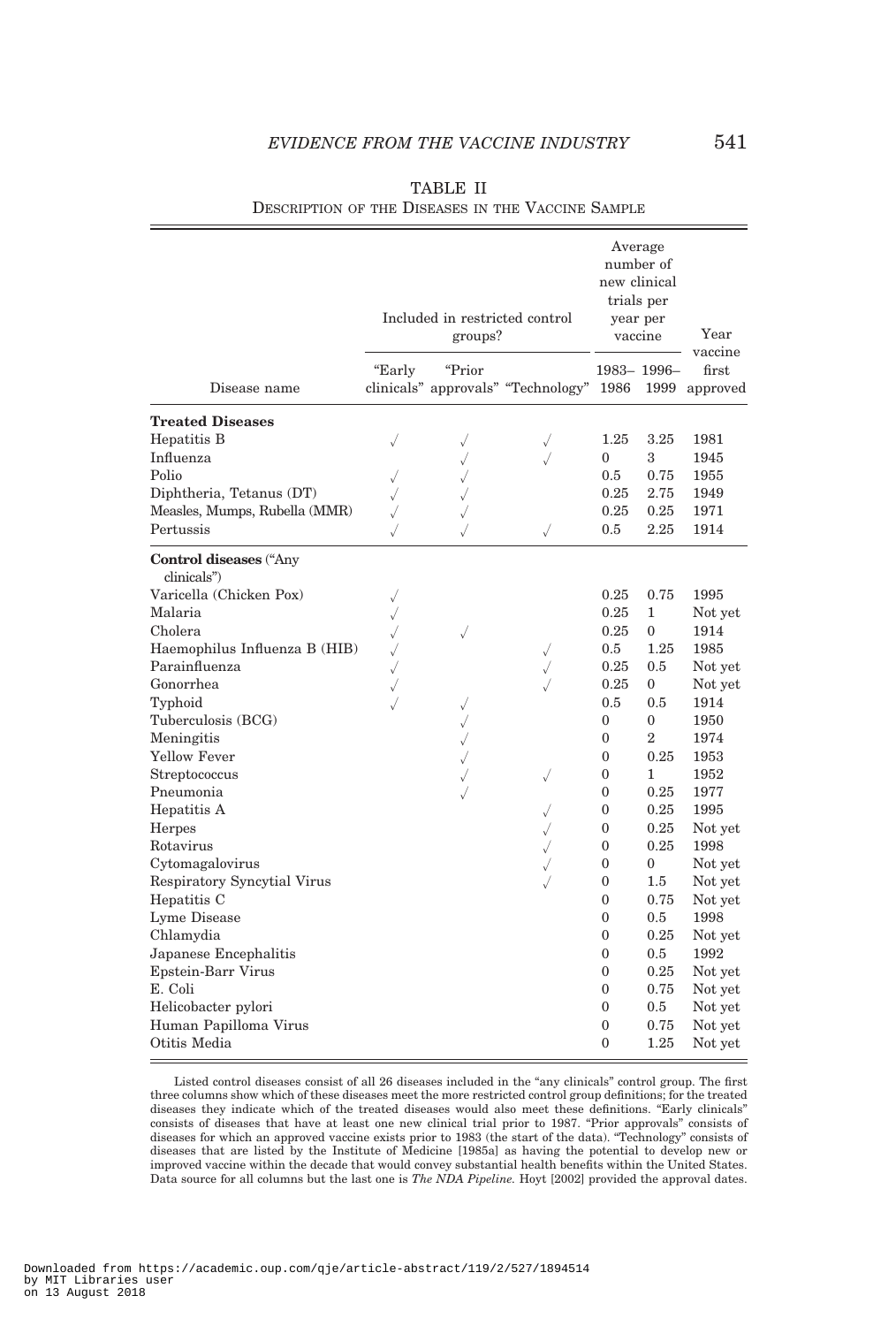|                                       |           | Included in restricted control<br>groups? |                                    |              | Average<br>number of<br>new clinical<br>trials per<br>year per<br>vaccine | Year<br>vaccine        |
|---------------------------------------|-----------|-------------------------------------------|------------------------------------|--------------|---------------------------------------------------------------------------|------------------------|
| Disease name                          | "Early    | "Prior                                    | clinicals" approvals" "Technology" | 1986         | 1983-1996-                                                                | first<br>1999 approved |
| <b>Treated Diseases</b>               |           |                                           |                                    |              |                                                                           |                        |
| Hepatitis B                           | $\sqrt{}$ | √                                         | √                                  | 1.25         | 3.25                                                                      | 1981                   |
| Influenza                             |           |                                           |                                    | 0            | 3                                                                         | 1945                   |
| Polio                                 | √         |                                           |                                    | 0.5          | 0.75                                                                      | 1955                   |
| Diphtheria, Tetanus (DT)              |           |                                           |                                    | 0.25         | 2.75                                                                      | 1949                   |
| Measles, Mumps, Rubella (MMR)         | √         |                                           |                                    | 0.25         | 0.25                                                                      | 1971                   |
| Pertussis                             |           |                                           | J                                  | 0.5          | 2.25                                                                      | 1914                   |
| Control diseases ("Any<br>clinicals") |           |                                           |                                    |              |                                                                           |                        |
| Varicella (Chicken Pox)               | $\sqrt{}$ |                                           |                                    | 0.25         | 0.75                                                                      | 1995                   |
| Malaria                               | √         |                                           |                                    | 0.25         | 1                                                                         | Not yet                |
| Cholera                               |           | √                                         |                                    | 0.25         | $\mathbf{0}$                                                              | 1914                   |
| Haemophilus Influenza B (HIB)         |           |                                           | $\sqrt{}$                          | 0.5          | 1.25                                                                      | 1985                   |
| Parainfluenza                         | √         |                                           | J                                  | 0.25         | 0.5                                                                       | Not yet                |
| Gonorrhea                             | √         |                                           |                                    | 0.25         | $\mathbf{0}$                                                              | Not yet                |
| Typhoid                               | $\surd$   | √                                         |                                    | 0.5          | 0.5                                                                       | 1914                   |
| Tuberculosis (BCG)                    |           |                                           |                                    | $\mathbf{0}$ | $\mathbf{0}$                                                              | 1950                   |
| Meningitis                            |           |                                           |                                    | $\mathbf{0}$ | $\overline{2}$                                                            | 1974                   |
| Yellow Fever                          |           |                                           |                                    | 0            | 0.25                                                                      | 1953                   |
| Streptococcus                         |           |                                           | √                                  | $\mathbf{0}$ | 1                                                                         | 1952                   |
| Pneumonia                             |           |                                           |                                    | 0            | 0.25                                                                      | 1977                   |
| Hepatitis A                           |           |                                           | √                                  | $\mathbf{0}$ | 0.25                                                                      | 1995                   |
| Herpes                                |           |                                           | √                                  | $\mathbf{0}$ | 0.25                                                                      | Not yet                |
| Rotavirus                             |           |                                           | √                                  | 0            | 0.25                                                                      | 1998                   |
| Cytomagalovirus                       |           |                                           | √                                  | $\mathbf{0}$ | $\mathbf{0}$                                                              | Not yet                |
| Respiratory Syncytial Virus           |           |                                           |                                    | $\mathbf{0}$ | $1.5\,$                                                                   | Not yet                |
| Hepatitis C                           |           |                                           |                                    | 0            | 0.75                                                                      | Not yet                |
| Lyme Disease                          |           |                                           |                                    | 0            | 0.5                                                                       | 1998                   |
| Chlamydia                             |           |                                           |                                    | $\mathbf{0}$ | 0.25                                                                      | Not yet                |
| Japanese Encephalitis                 |           |                                           |                                    | $\mathbf{0}$ | 0.5                                                                       | 1992                   |
| Epstein-Barr Virus                    |           |                                           |                                    | $\mathbf{0}$ | 0.25                                                                      | Not yet                |
| E. Coli                               |           |                                           |                                    | 0            | 0.75                                                                      | Not yet                |
| Helicobacter pylori                   |           |                                           |                                    | $\mathbf{0}$ | $0.5\,$                                                                   | Not yet                |
| Human Papilloma Virus                 |           |                                           |                                    | $\mathbf{0}$ | 0.75                                                                      | Not yet                |
| Otitis Media                          |           |                                           |                                    | $\theta$     | 1.25                                                                      | Not yet                |

## TABLE II DESCRIPTION OF THE DISEASES IN THE VACCINE SAMPLE

Listed control diseases consist of all 26 diseases included in the "any clinicals" control group. The first three columns show which of these diseases meet the more restricted control group definitions; for the treated diseases they indicate which of the treated diseases would also meet these definitions. "Early clinicals" consists of diseases that have at least one new clinical trial prior to 1987. "Prior approvals" consists of diseases for which an approved vaccine exists prior to 1983 (the start of the data). "Technology" consists of diseases that are listed by the Institute of Medicine [1985a] as having the potential to develop new or improved vaccine within the decade that would convey substantial health benefits within the United States. Data source for all columns but the last one is *The NDA Pipeline.* Hoyt [2002] provided the approval dates.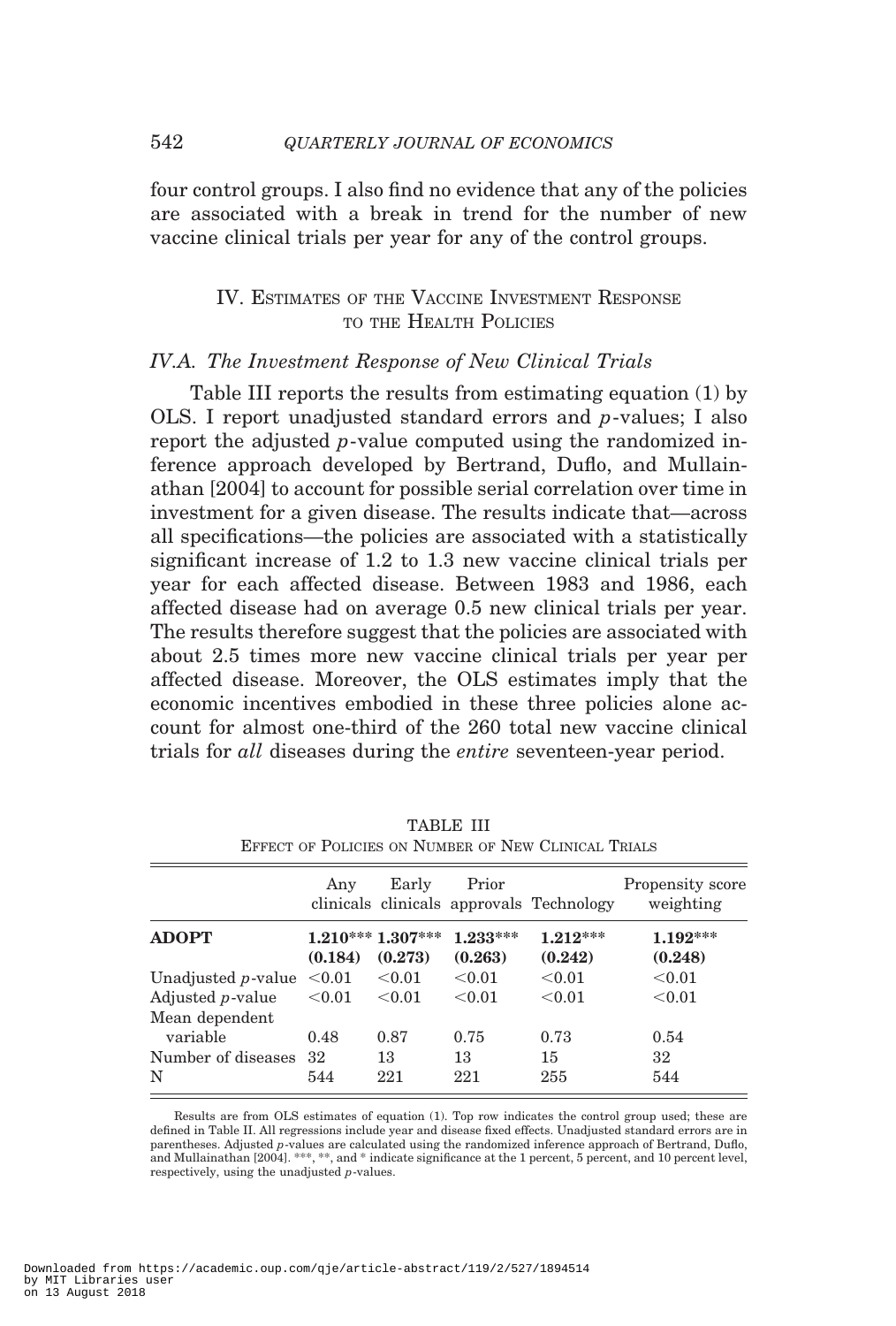four control groups. I also find no evidence that any of the policies are associated with a break in trend for the number of new vaccine clinical trials per year for any of the control groups.

## IV. ESTIMATES OF THE VACCINE INVESTMENT RESPONSE TO THE HEALTH POLICIES

## *IV.A. The Investment Response of New Clinical Trials*

Table III reports the results from estimating equation (1) by OLS. I report unadjusted standard errors and *p*-values; I also report the adjusted *p*-value computed using the randomized inference approach developed by Bertrand, Duflo, and Mullainathan [2004] to account for possible serial correlation over time in investment for a given disease. The results indicate that—across all specifications—the policies are associated with a statistically significant increase of 1.2 to 1.3 new vaccine clinical trials per year for each affected disease. Between 1983 and 1986, each affected disease had on average 0.5 new clinical trials per year. The results therefore suggest that the policies are associated with about 2.5 times more new vaccine clinical trials per year per affected disease. Moreover, the OLS estimates imply that the economic incentives embodied in these three policies alone account for almost one-third of the 260 total new vaccine clinical trials for *all* diseases during the *entire* seventeen-year period.

|                                                                  | Any               | Early                         | Prior                 | clinicals clinicals approvals Technology | Propensity score<br>weighting |
|------------------------------------------------------------------|-------------------|-------------------------------|-----------------------|------------------------------------------|-------------------------------|
| <b>ADOPT</b>                                                     | (0.184)           | $1.210***1.307***$<br>(0.273) | $1.233***$<br>(0.263) | $1.212***$<br>(0.242)                    | $1.192***$<br>(0.248)         |
| Unadjusted <i>p</i> -value<br>Adjusted p-value<br>Mean dependent | < 0.01<br>< 0.01  | < 0.01<br>< 0.01              | < 0.01<br>< 0.01      | < 0.01<br>< 0.01                         | $<$ 0.01<br>< 0.01            |
| variable<br>Number of diseases<br>N                              | 0.48<br>32<br>544 | 0.87<br>13<br>221             | 0.75<br>13<br>221     | 0.73<br>15<br>255                        | 0.54<br>32<br>544             |

TABLE III EFFECT OF POLICIES ON NUMBER OF NEW CLINICAL TRIALS

Results are from OLS estimates of equation (1). Top row indicates the control group used; these are defined in Table II. All regressions include year and disease fixed effects. Unadjusted standard errors are in parentheses. Adjusted *p*-values are calculated using the randomized inference approach of Bertrand, Duflo, and Mullainathan [2004]. \*\*\*, \*\*, and \* indicate significance at the 1 percent, 5 percent, and 10 percent level, respectively, using the unadjusted *p*-values.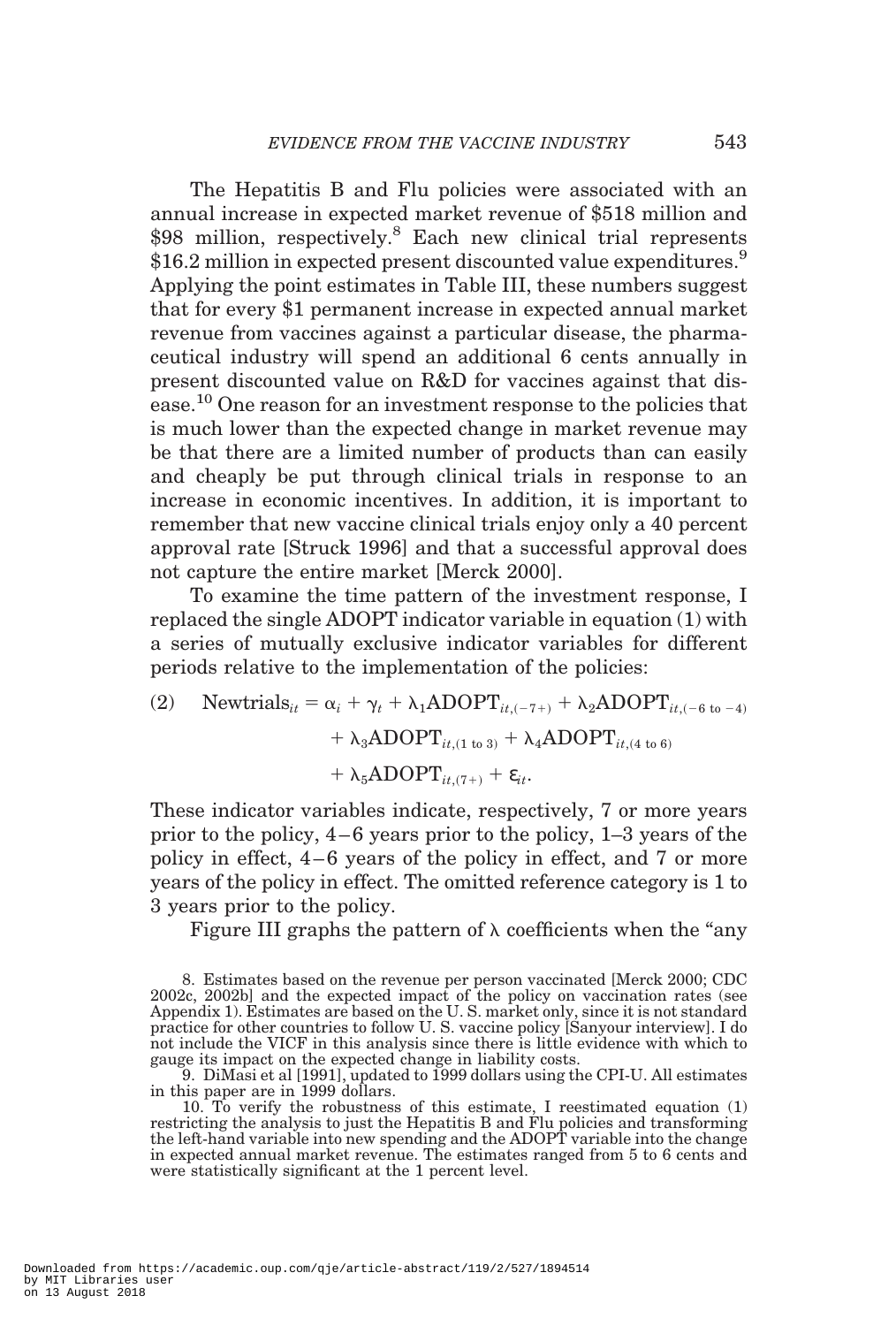The Hepatitis B and Flu policies were associated with an annual increase in expected market revenue of \$518 million and \$98 million, respectively.<sup>8</sup> Each new clinical trial represents \$16.2 million in expected present discounted value expenditures.<sup>9</sup> Applying the point estimates in Table III, these numbers suggest that for every \$1 permanent increase in expected annual market revenue from vaccines against a particular disease, the pharmaceutical industry will spend an additional 6 cents annually in present discounted value on R&D for vaccines against that disease.10 One reason for an investment response to the policies that is much lower than the expected change in market revenue may be that there are a limited number of products than can easily and cheaply be put through clinical trials in response to an increase in economic incentives. In addition, it is important to remember that new vaccine clinical trials enjoy only a 40 percent approval rate [Struck 1996] and that a successful approval does not capture the entire market [Merck 2000].

To examine the time pattern of the investment response, I replaced the single ADOPT indicator variable in equation (1) with a series of mutually exclusive indicator variables for different periods relative to the implementation of the policies:

(2) Newtrials<sub>it</sub> = 
$$
\alpha_i + \gamma_t + \lambda_1 \text{ADOPT}_{it,(-7+)} + \lambda_2 \text{ADOPT}_{it,(-6 \text{ to } -4)}
$$
  
+  $\lambda_3 \text{ADOPT}_{it,(1 \text{ to } 3)} + \lambda_4 \text{ADOPT}_{it, (4 \text{ to } 6)}$   
+  $\lambda_5 \text{ADOPT}_{it, (7+)} + \varepsilon_{it}.$ 

These indicator variables indicate, respectively, 7 or more years prior to the policy, 4 – 6 years prior to the policy, 1–3 years of the policy in effect, 4 – 6 years of the policy in effect, and 7 or more years of the policy in effect. The omitted reference category is 1 to 3 years prior to the policy.

Figure III graphs the pattern of  $\lambda$  coefficients when the "any"

9. DiMasi et al [1991], updated to 1999 dollars using the CPI-U. All estimates in this paper are in 1999 dollars.

 $10.$  To verify the robustness of this estimate, I reestimated equation  $(1)$ restricting the analysis to just the Hepatitis B and Flu policies and transforming the left-hand variable into new spending and the ADOPT variable into the change in expected annual market revenue. The estimates ranged from 5 to 6 cents and were statistically significant at the 1 percent level.

<sup>8.</sup> Estimates based on the revenue per person vaccinated [Merck 2000; CDC 2002c, 2002b] and the expected impact of the policy on vaccination rates (see Appendix 1). Estimates are based on the U. S. market only, since it is not standard practice for other countries to follow U. S. vaccine policy [Sanyour interview]. I do not include the VICF in this analysis since there is little evidence with which to gauge its impact on the expected change in liability costs.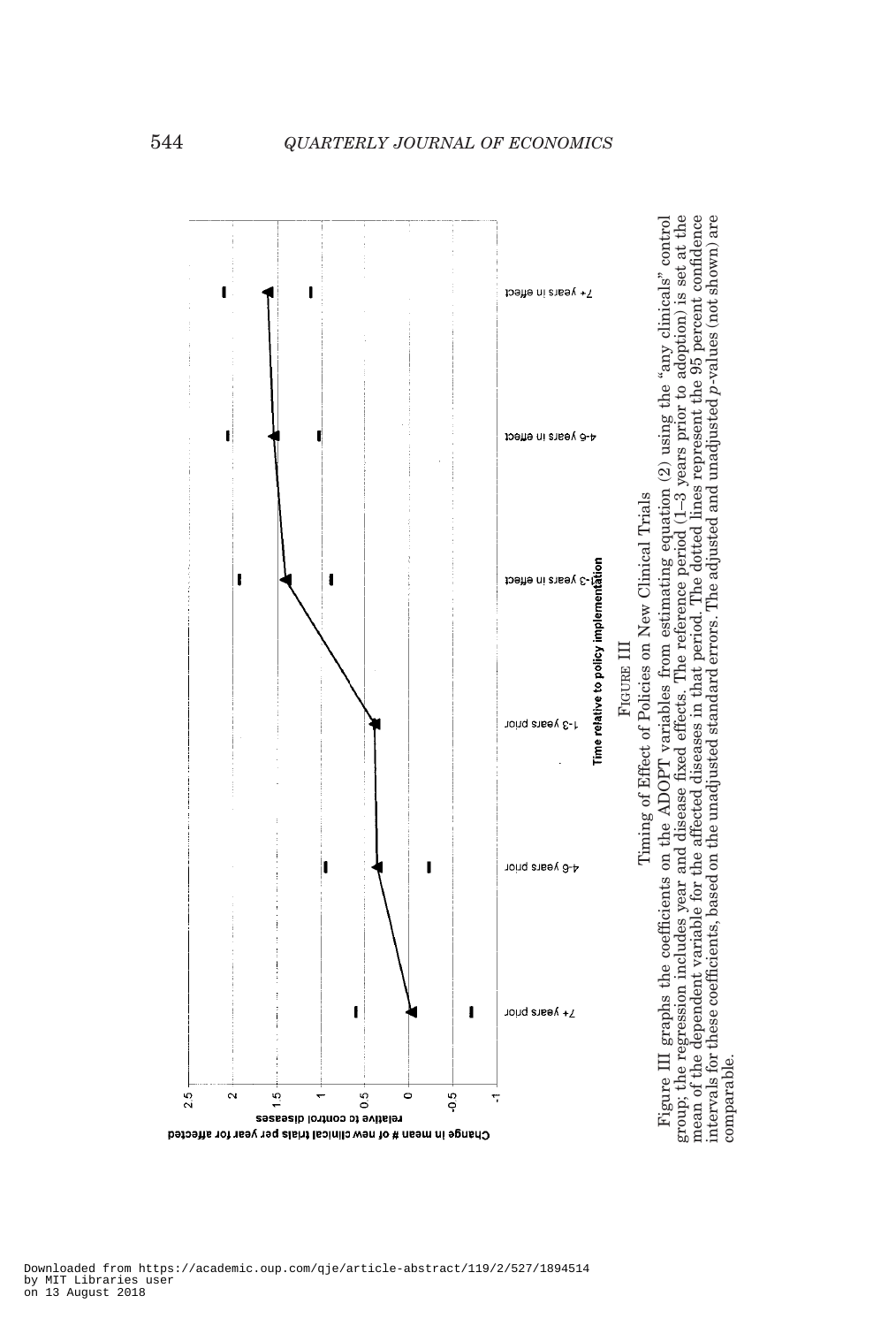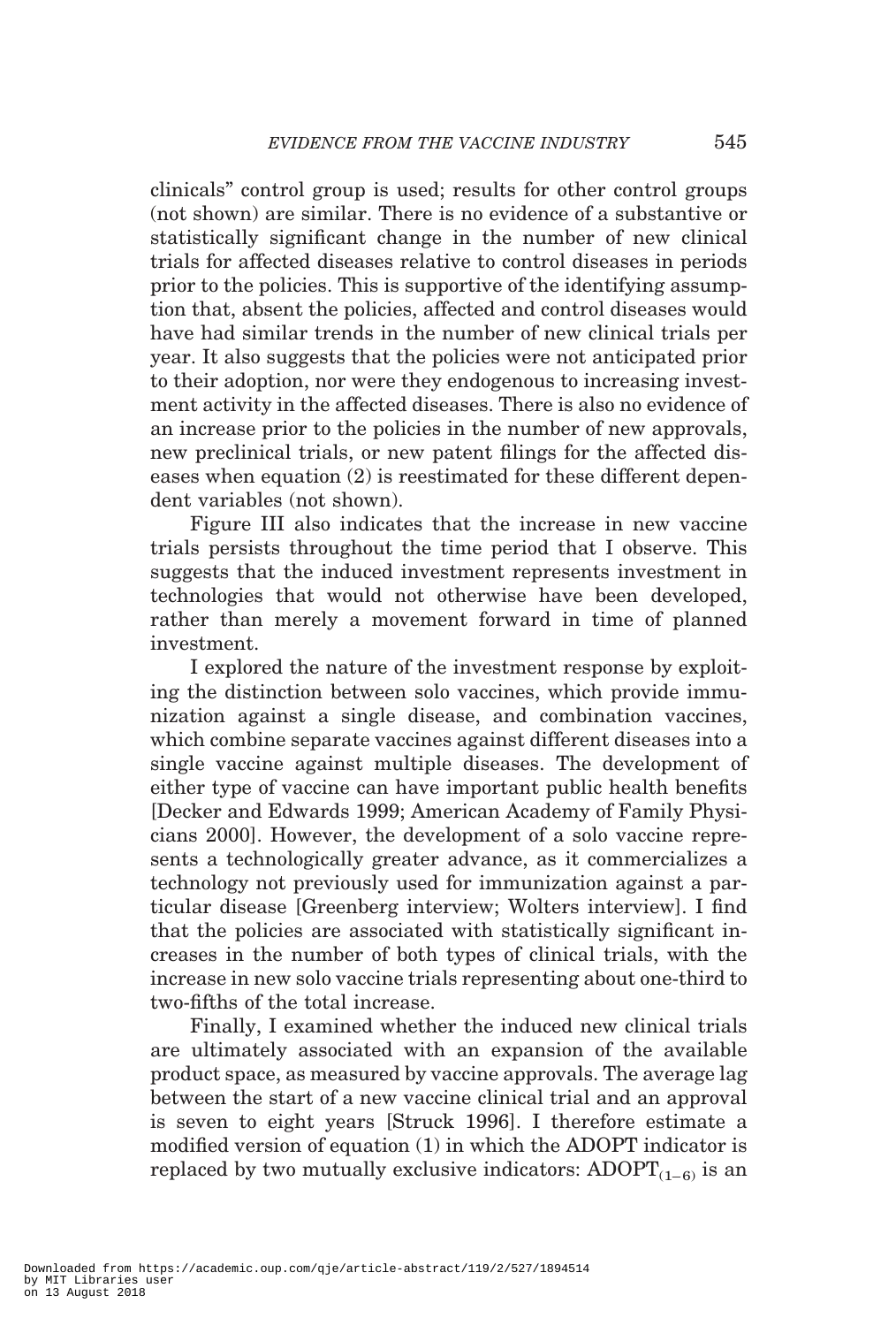clinicals" control group is used; results for other control groups (not shown) are similar. There is no evidence of a substantive or statistically significant change in the number of new clinical trials for affected diseases relative to control diseases in periods prior to the policies. This is supportive of the identifying assumption that, absent the policies, affected and control diseases would have had similar trends in the number of new clinical trials per year. It also suggests that the policies were not anticipated prior to their adoption, nor were they endogenous to increasing investment activity in the affected diseases. There is also no evidence of an increase prior to the policies in the number of new approvals, new preclinical trials, or new patent filings for the affected diseases when equation (2) is reestimated for these different dependent variables (not shown).

Figure III also indicates that the increase in new vaccine trials persists throughout the time period that I observe. This suggests that the induced investment represents investment in technologies that would not otherwise have been developed, rather than merely a movement forward in time of planned investment.

I explored the nature of the investment response by exploiting the distinction between solo vaccines, which provide immunization against a single disease, and combination vaccines, which combine separate vaccines against different diseases into a single vaccine against multiple diseases. The development of either type of vaccine can have important public health benefits [Decker and Edwards 1999; American Academy of Family Physicians 2000]. However, the development of a solo vaccine represents a technologically greater advance, as it commercializes a technology not previously used for immunization against a particular disease [Greenberg interview; Wolters interview]. I find that the policies are associated with statistically significant increases in the number of both types of clinical trials, with the increase in new solo vaccine trials representing about one-third to two-fifths of the total increase.

Finally, I examined whether the induced new clinical trials are ultimately associated with an expansion of the available product space, as measured by vaccine approvals. The average lag between the start of a new vaccine clinical trial and an approval is seven to eight years [Struck 1996]. I therefore estimate a modified version of equation (1) in which the ADOPT indicator is replaced by two mutually exclusive indicators:  $ADOPT_{(1-6)}$  is an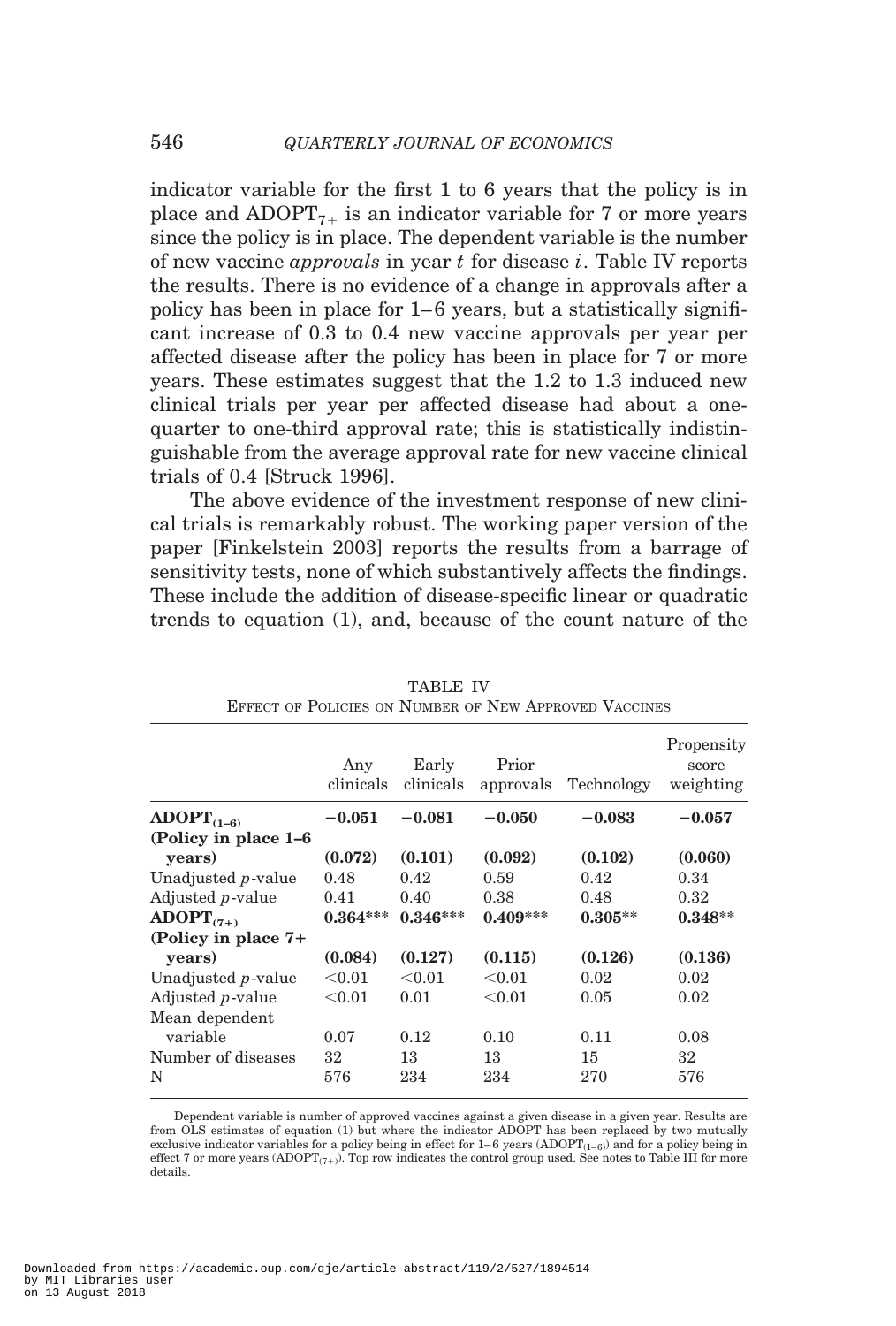indicator variable for the first 1 to 6 years that the policy is in place and  $\text{ADOPT}_{7+}$  is an indicator variable for 7 or more years since the policy is in place. The dependent variable is the number of new vaccine *approvals* in year *t* for disease *i*. Table IV reports the results. There is no evidence of a change in approvals after a policy has been in place for 1– 6 years, but a statistically significant increase of 0.3 to 0.4 new vaccine approvals per year per affected disease after the policy has been in place for 7 or more years. These estimates suggest that the 1.2 to 1.3 induced new clinical trials per year per affected disease had about a onequarter to one-third approval rate; this is statistically indistinguishable from the average approval rate for new vaccine clinical trials of 0.4 [Struck 1996].

The above evidence of the investment response of new clinical trials is remarkably robust. The working paper version of the paper [Finkelstein 2003] reports the results from a barrage of sensitivity tests, none of which substantively affects the findings. These include the addition of disease-specific linear or quadratic trends to equation (1), and, because of the count nature of the

|                            |                  |                    |                    | EFFECT OF POLICIES ON NUMBER OF INEW APPROVED VACCINES |                                  |
|----------------------------|------------------|--------------------|--------------------|--------------------------------------------------------|----------------------------------|
|                            | Any<br>clinicals | Early<br>clinicals | Prior<br>approvals | Technology                                             | Propensity<br>score<br>weighting |
| $\text{ADOPT}_{(1-6)}$     | $-0.051$         | $-0.081$           | $-0.050$           | $-0.083$                                               | $-0.057$                         |
| (Policy in place 1-6)      |                  |                    |                    |                                                        |                                  |
| years)                     | (0.072)          | (0.101)            | (0.092)            | (0.102)                                                | (0.060)                          |
| Unadjusted <i>p</i> -value | 0.48             | 0.42               | 0.59               | 0.42                                                   | 0.34                             |
| Adjusted <i>p</i> -value   | 0.41             | 0.40               | 0.38               | 0.48                                                   | 0.32                             |
| $\text{ADOPT}_{(7+)}$      | $0.364***$       | $0.346***$         | $0.409***$         | $0.305**$                                              | $0.348**$                        |
| (Policy in place $7+$      |                  |                    |                    |                                                        |                                  |
| years)                     | (0.084)          | (0.127)            | (0.115)            | (0.126)                                                | (0.136)                          |
| Unadjusted <i>p</i> -value | $<$ 0.01         | < 0.01             | < 0.01             | 0.02                                                   | 0.02                             |
| Adjusted <i>p</i> -value   | $<$ 0.01         | 0.01               | $<$ 0.01           | 0.05                                                   | 0.02                             |
| Mean dependent             |                  |                    |                    |                                                        |                                  |
| variable                   | 0.07             | 0.12               | 0.10               | 0.11                                                   | 0.08                             |
| Number of diseases         | 32               | 13                 | 13                 | 15                                                     | 32                               |
| N                          | 576              | 234                | 234                | 270                                                    | 576                              |

TABLE IV EFFECT OF POLICIES ON NUMBER OF NEW APPROVED VACCINES

Dependent variable is number of approved vaccines against a given disease in a given year. Results are from OLS estimates of equation (1) but where the indicator ADOPT has been replaced by two mutually exclusive indicator variables for a policy being in effect for  $1-6$  years (ADOPT<sub>(1–6)</sub>) and for a policy being in effect 7 or more years (ADOPT $(7+1)$ ). Top row indicates the control group used. See notes to Table III for more details.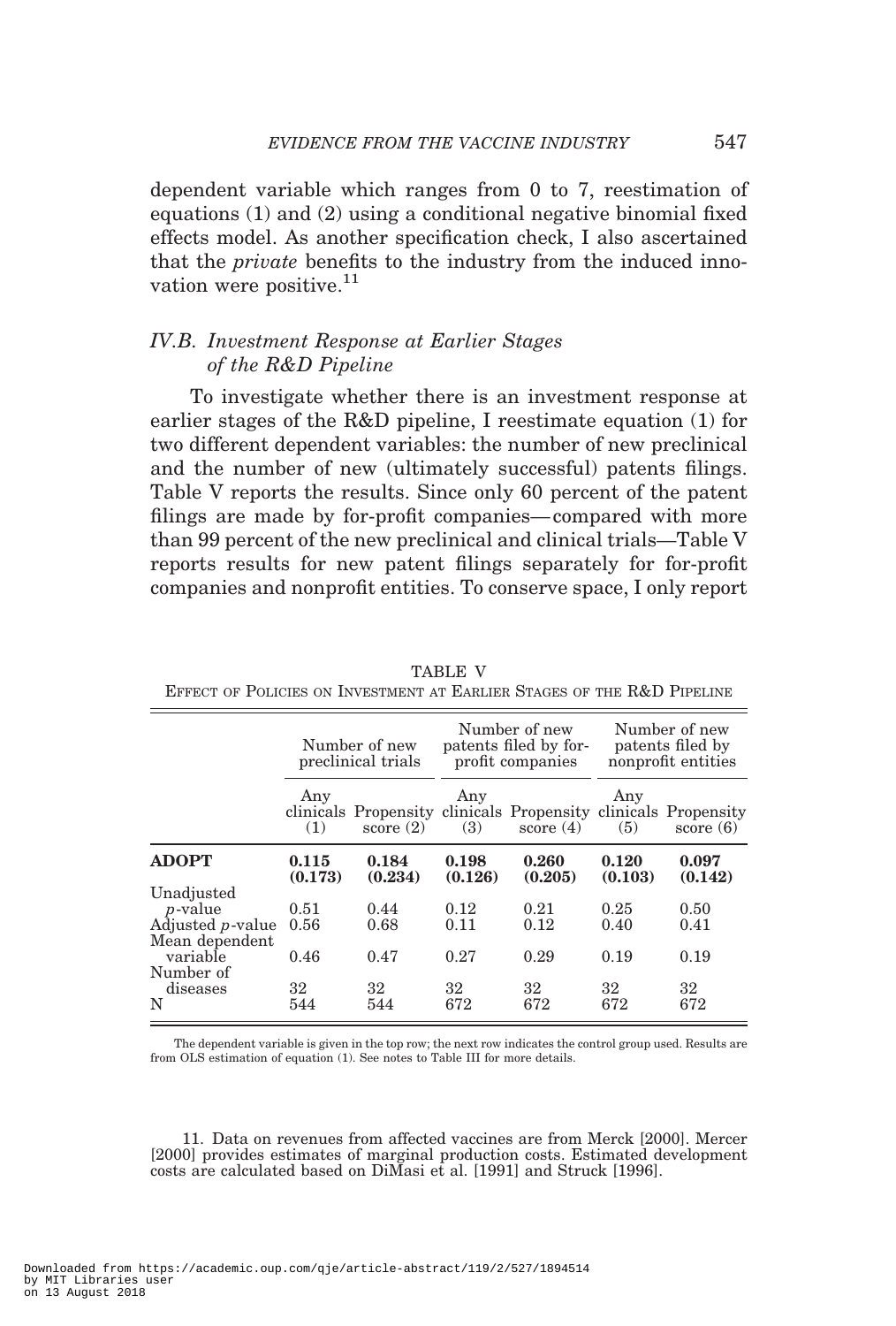dependent variable which ranges from 0 to 7, reestimation of equations (1) and (2) using a conditional negative binomial fixed effects model. As another specification check, I also ascertained that the *private* benefits to the industry from the induced innovation were positive.<sup>11</sup>

## *IV.B. Investment Response at Earlier Stages of the R&D Pipeline*

To investigate whether there is an investment response at earlier stages of the R&D pipeline, I reestimate equation (1) for two different dependent variables: the number of new preclinical and the number of new (ultimately successful) patents filings. Table V reports the results. Since only 60 percent of the patent filings are made by for-profit companies— compared with more than 99 percent of the new preclinical and clinical trials—Table V reports results for new patent filings separately for for-profit companies and nonprofit entities. To conserve space, I only report

|                                                                        |                  | Number of new<br>preclinical trials |                  | Number of new<br>patents filed by for-<br>profit companies                    |                  | Number of new<br>patents filed by<br>nonprofit entities |
|------------------------------------------------------------------------|------------------|-------------------------------------|------------------|-------------------------------------------------------------------------------|------------------|---------------------------------------------------------|
|                                                                        | Any<br>(1)       | score $(2)$                         | Any<br>(3)       | clinicals Propensity clinicals Propensity clinicals Propensity<br>score $(4)$ | Any<br>(5)       | score $(6)$                                             |
| <b>ADOPT</b>                                                           | 0.115<br>(0.173) | 0.184<br>(0.234)                    | 0.198<br>(0.126) | 0.260<br>(0.205)                                                              | 0.120<br>(0.103) | 0.097<br>(0.142)                                        |
| Unadjusted<br>$p$ -value<br>Adjusted <i>p</i> -value<br>Mean dependent | 0.51<br>0.56     | 0.44<br>0.68                        | 0.12<br>0.11     | 0.21<br>0.12                                                                  | 0.25<br>0.40     | 0.50<br>0.41                                            |
| variable<br>Number of                                                  | 0.46             | 0.47                                | 0.27             | 0.29                                                                          | 0.19             | 0.19                                                    |
| diseases<br>N                                                          | 32<br>544        | 32<br>544                           | 32<br>672        | 32<br>672                                                                     | 32<br>672        | 32<br>672                                               |

TABLE V EFFECT OF POLICIES ON INVESTMENT AT EARLIER STAGES OF THE R&D PIPELINE

The dependent variable is given in the top row; the next row indicates the control group used. Results are from OLS estimation of equation (1). See notes to Table III for more details.

11. Data on revenues from affected vaccines are from Merck [2000]. Mercer [2000] provides estimates of marginal production costs. Estimated development costs are calculated based on DiMasi et al. [1991] and Struck [1996].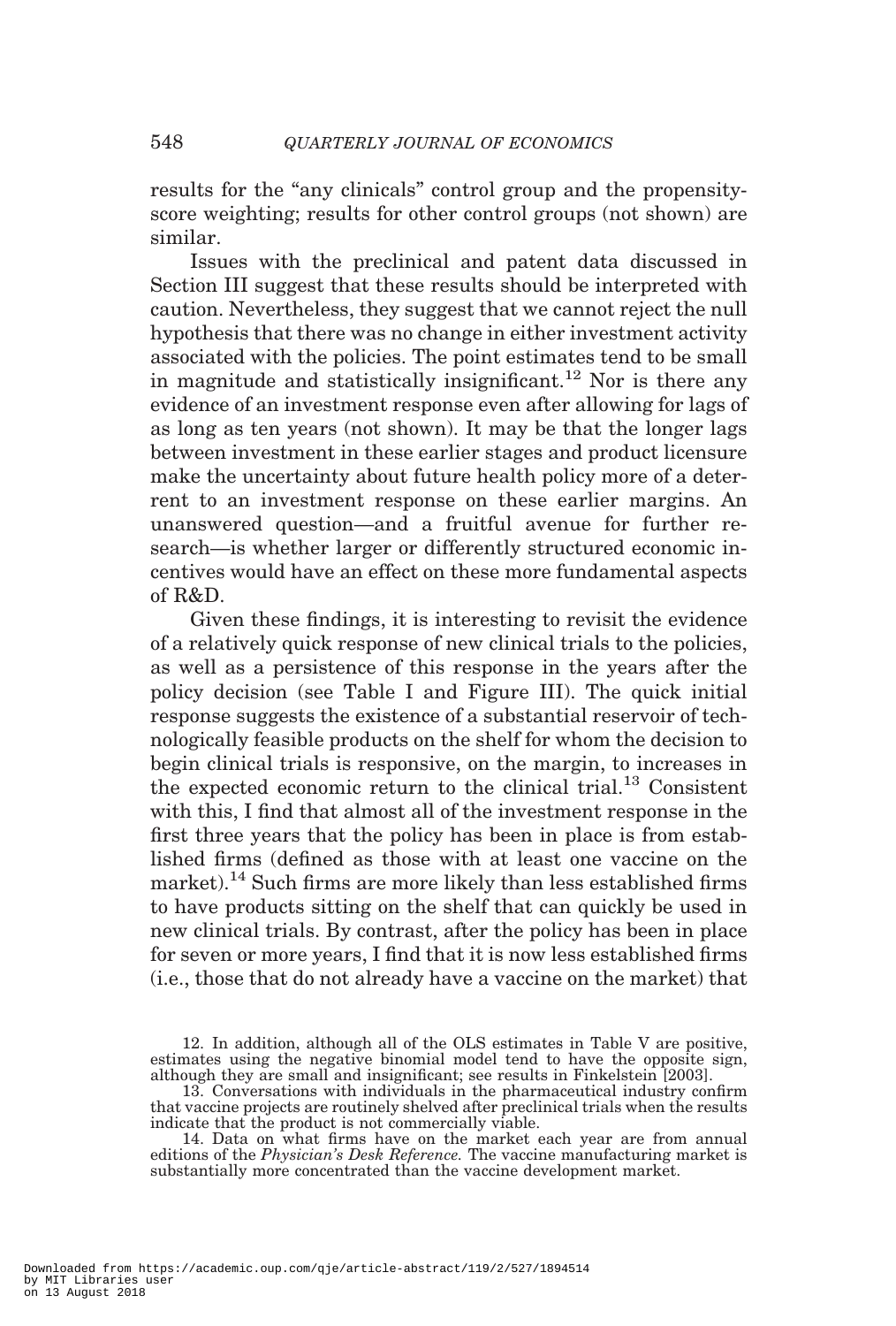results for the "any clinicals" control group and the propensityscore weighting; results for other control groups (not shown) are similar.

Issues with the preclinical and patent data discussed in Section III suggest that these results should be interpreted with caution. Nevertheless, they suggest that we cannot reject the null hypothesis that there was no change in either investment activity associated with the policies. The point estimates tend to be small in magnitude and statistically insignificant.<sup>12</sup> Nor is there any evidence of an investment response even after allowing for lags of as long as ten years (not shown). It may be that the longer lags between investment in these earlier stages and product licensure make the uncertainty about future health policy more of a deterrent to an investment response on these earlier margins. An unanswered question—and a fruitful avenue for further research—is whether larger or differently structured economic incentives would have an effect on these more fundamental aspects of R&D.

Given these findings, it is interesting to revisit the evidence of a relatively quick response of new clinical trials to the policies, as well as a persistence of this response in the years after the policy decision (see Table I and Figure III). The quick initial response suggests the existence of a substantial reservoir of technologically feasible products on the shelf for whom the decision to begin clinical trials is responsive, on the margin, to increases in the expected economic return to the clinical trial.13 Consistent with this, I find that almost all of the investment response in the first three years that the policy has been in place is from established firms (defined as those with at least one vaccine on the market).14 Such firms are more likely than less established firms to have products sitting on the shelf that can quickly be used in new clinical trials. By contrast, after the policy has been in place for seven or more years, I find that it is now less established firms (i.e., those that do not already have a vaccine on the market) that

Downloaded from https://academic.oup.com/qje/article-abstract/119/2/527/1894514 by MIT Libraries user on 13 August 2018

<sup>12.</sup> In addition, although all of the OLS estimates in Table V are positive, estimates using the negative binomial model tend to have the opposite sign,

although they are small and insignificant; see results in Finkelstein [2003]. 13. Conversations with individuals in the pharmaceutical industry confirm that vaccine projects are routinely shelved after preclinical trials when the results indicate that the product is not commercially viable.

<sup>14.</sup> Data on what firms have on the market each year are from annual editions of the *Physician's Desk Reference.* The vaccine manufacturing market is substantially more concentrated than the vaccine development market.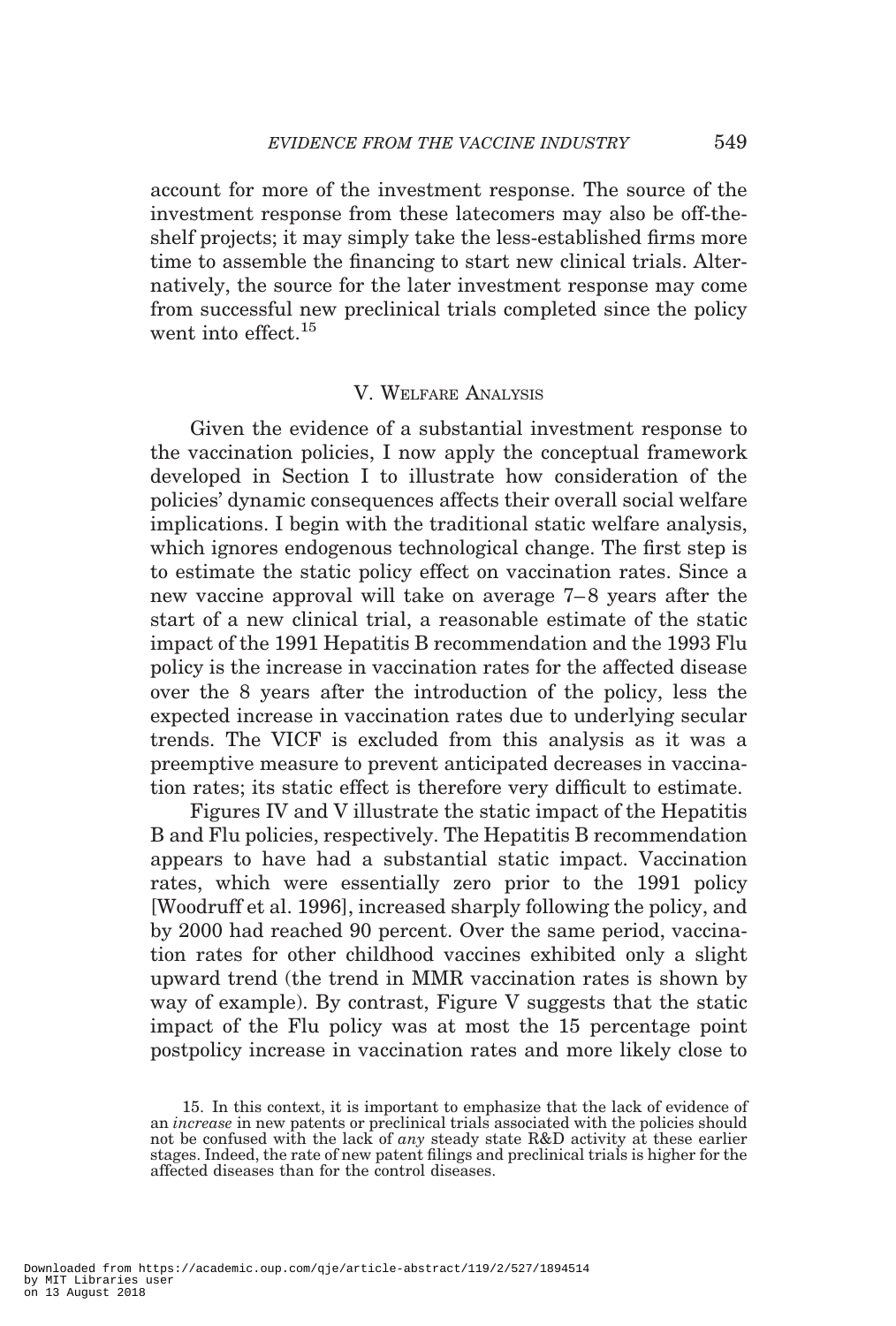account for more of the investment response. The source of the investment response from these latecomers may also be off-theshelf projects; it may simply take the less-established firms more time to assemble the financing to start new clinical trials. Alternatively, the source for the later investment response may come from successful new preclinical trials completed since the policy went into effect.<sup>15</sup>

### V. WELFARE ANALYSIS

Given the evidence of a substantial investment response to the vaccination policies, I now apply the conceptual framework developed in Section I to illustrate how consideration of the policies' dynamic consequences affects their overall social welfare implications. I begin with the traditional static welfare analysis, which ignores endogenous technological change. The first step is to estimate the static policy effect on vaccination rates. Since a new vaccine approval will take on average 7– 8 years after the start of a new clinical trial, a reasonable estimate of the static impact of the 1991 Hepatitis B recommendation and the 1993 Flu policy is the increase in vaccination rates for the affected disease over the 8 years after the introduction of the policy, less the expected increase in vaccination rates due to underlying secular trends. The VICF is excluded from this analysis as it was a preemptive measure to prevent anticipated decreases in vaccination rates; its static effect is therefore very difficult to estimate.

Figures IV and V illustrate the static impact of the Hepatitis B and Flu policies, respectively. The Hepatitis B recommendation appears to have had a substantial static impact. Vaccination rates, which were essentially zero prior to the 1991 policy [Woodruff et al. 1996], increased sharply following the policy, and by 2000 had reached 90 percent. Over the same period, vaccination rates for other childhood vaccines exhibited only a slight upward trend (the trend in MMR vaccination rates is shown by way of example). By contrast, Figure V suggests that the static impact of the Flu policy was at most the 15 percentage point postpolicy increase in vaccination rates and more likely close to

<sup>15.</sup> In this context, it is important to emphasize that the lack of evidence of an *increase* in new patents or preclinical trials associated with the policies should not be confused with the lack of *any* steady state R&D activity at these earlier stages. Indeed, the rate of new patent filings and preclinical trials is higher for the affected diseases than for the control diseases.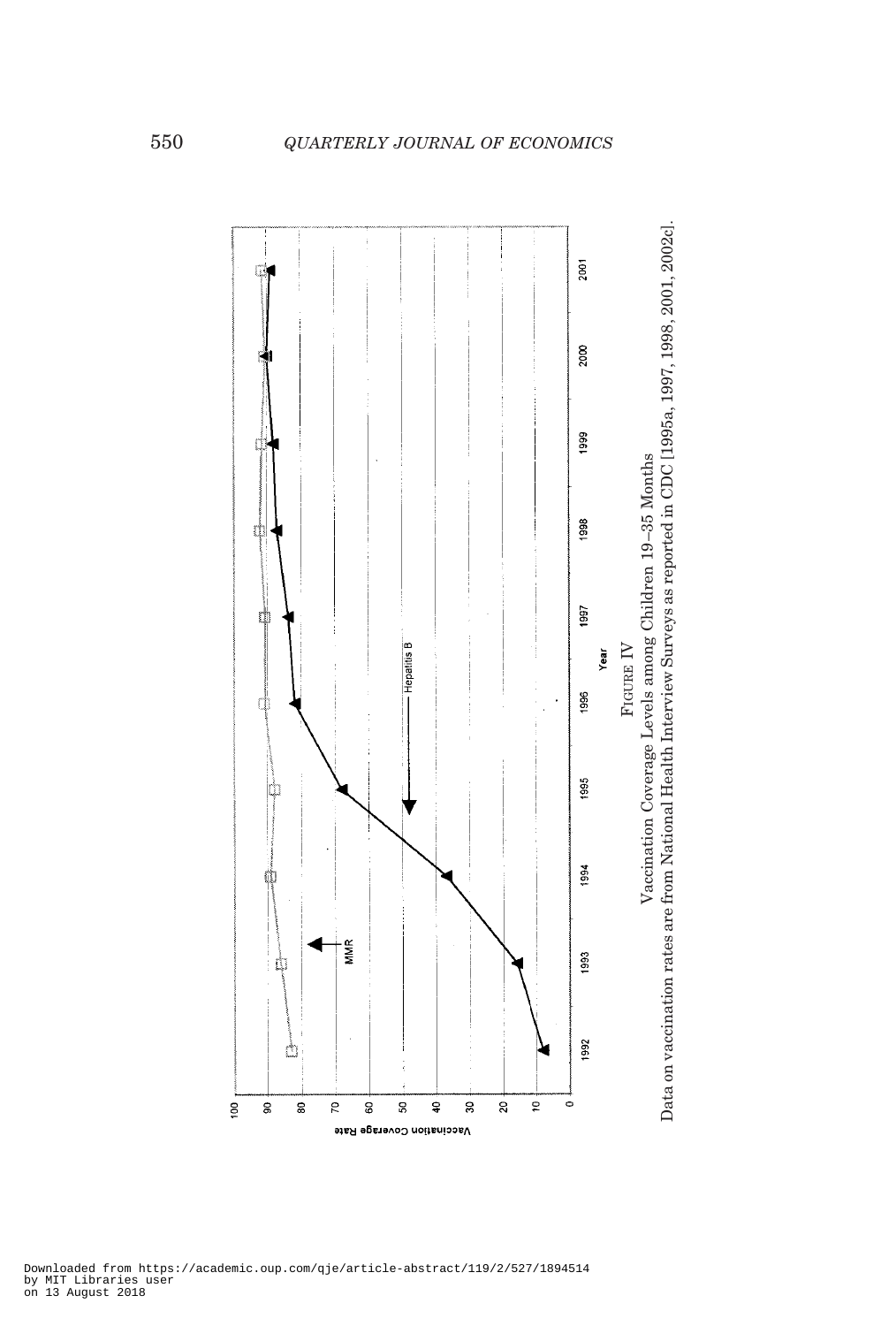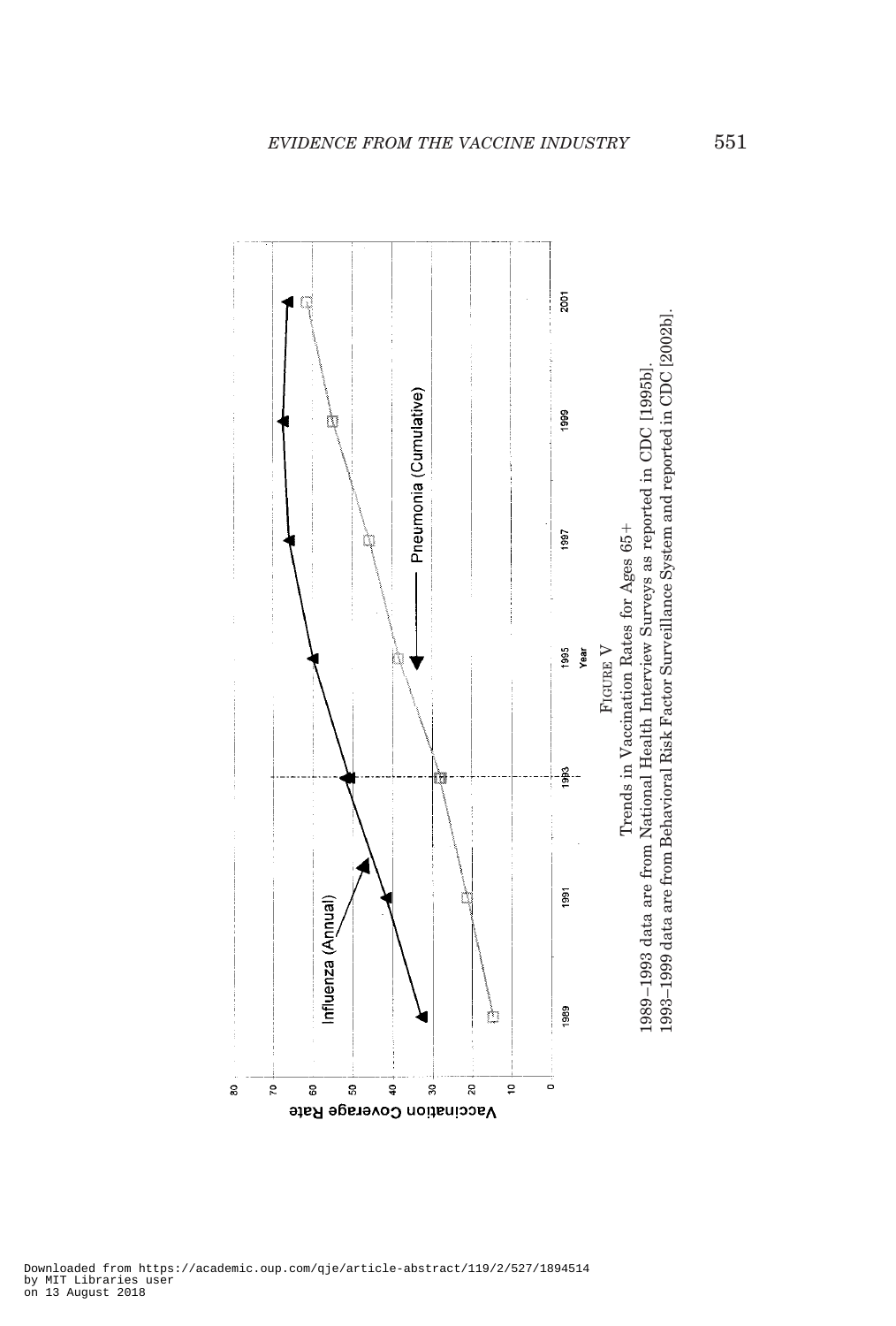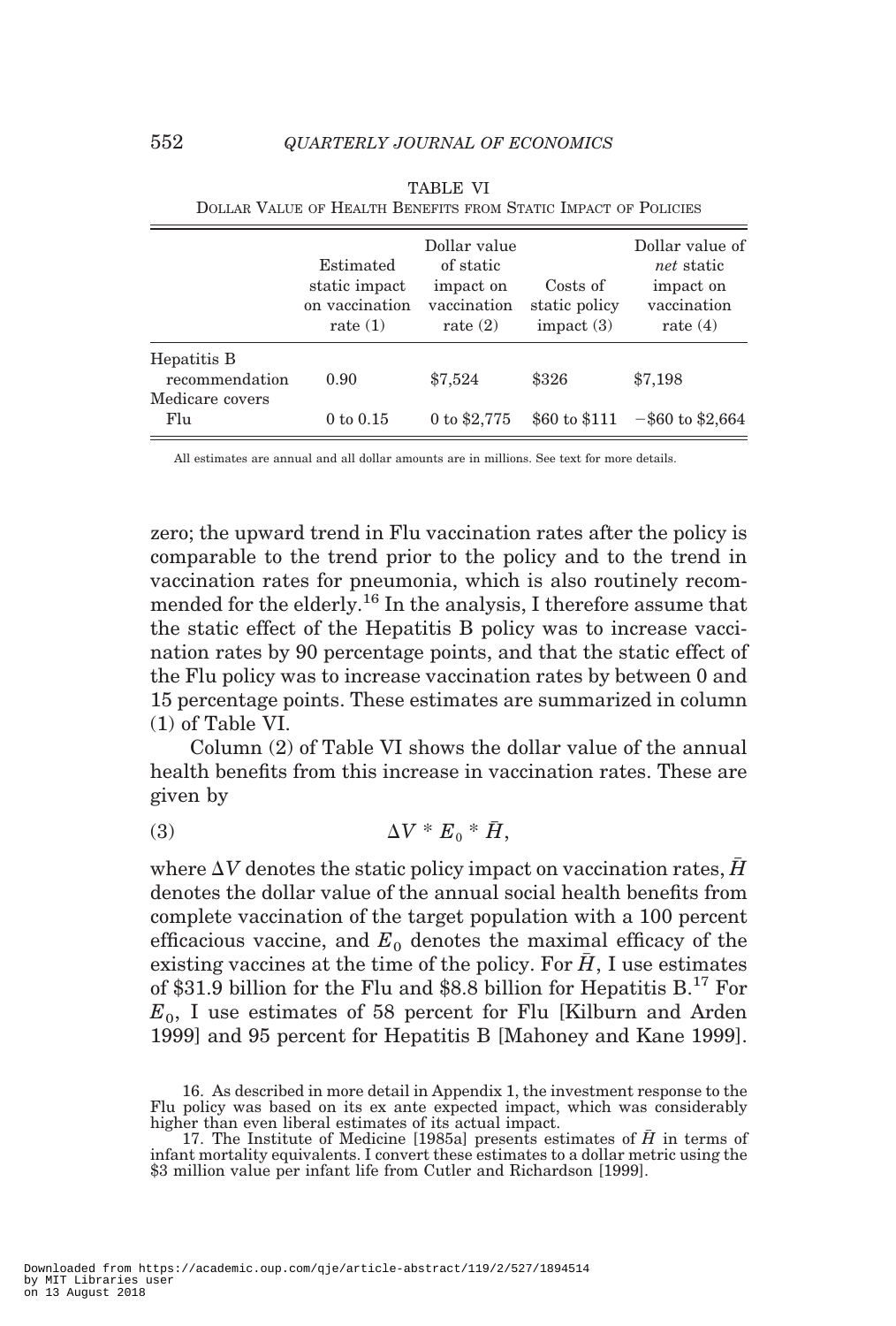|                                                  | Estimated<br>static impact<br>on vaccination<br>rate $(1)$ | Dollar value<br>of static<br>impact on<br>vaccination<br>rate $(2)$ | Costs of<br>static policy<br>impact (3) | Dollar value of<br>net static<br>impact on<br>vaccination<br>rate $(4)$ |
|--------------------------------------------------|------------------------------------------------------------|---------------------------------------------------------------------|-----------------------------------------|-------------------------------------------------------------------------|
| Hepatitis B<br>recommendation<br>Medicare covers | 0.90                                                       | \$7,524                                                             | \$326                                   | \$7,198                                                                 |
| Flu                                              | $0$ to $0.15$                                              | 0 to \$2,775                                                        | \$60 to \$111                           | $-$ \$60 to \$2,664                                                     |

|  | TABLE VI                                                       |  |  |  |
|--|----------------------------------------------------------------|--|--|--|
|  | DOLLAR VALUE OF HEALTH BENEFITS FROM STATIC IMPACT OF POLICIES |  |  |  |

All estimates are annual and all dollar amounts are in millions. See text for more details.

zero; the upward trend in Flu vaccination rates after the policy is comparable to the trend prior to the policy and to the trend in vaccination rates for pneumonia, which is also routinely recommended for the elderly.<sup>16</sup> In the analysis, I therefore assume that the static effect of the Hepatitis B policy was to increase vaccination rates by 90 percentage points, and that the static effect of the Flu policy was to increase vaccination rates by between 0 and 15 percentage points. These estimates are summarized in column (1) of Table VI.

Column (2) of Table VI shows the dollar value of the annual health benefits from this increase in vaccination rates. These are given by

$$
(3) \t\t \t \Delta V * E_0 * \bar{H},
$$

where  $\Delta V$  denotes the static policy impact on vaccination rates,  $\bar{H}$ denotes the dollar value of the annual social health benefits from complete vaccination of the target population with a 100 percent efficacious vaccine, and  $E_0$  denotes the maximal efficacy of the existing vaccines at the time of the policy. For  $\bar{H}$ , I use estimates of \$31.9 billion for the Flu and \$8.8 billion for Hepatitis  $B^{17}$  For  $E_0$ , I use estimates of 58 percent for Flu [Kilburn and Arden 1999] and 95 percent for Hepatitis B [Mahoney and Kane 1999].

<sup>16.</sup> As described in more detail in Appendix 1, the investment response to the Flu policy was based on its ex ante expected impact, which was considerably

higher than even liberal estimates of its actual impact. 17. The Institute of Medicine [1985a] presents estimates of *H* in terms of infant mortality equivalents. I convert these estimates to a dollar metric using the \$3 million value per infant life from Cutler and Richardson [1999].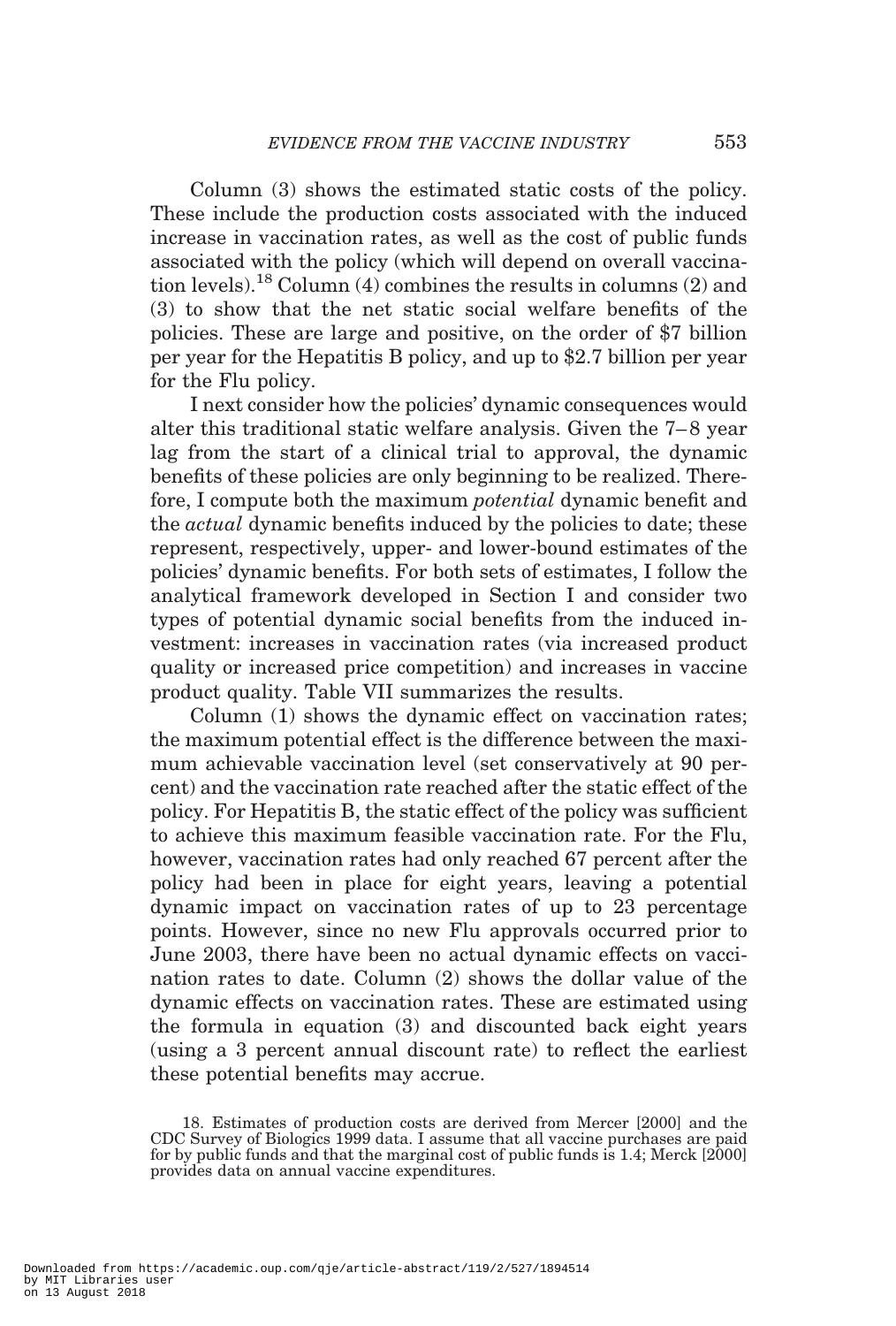Column (3) shows the estimated static costs of the policy. These include the production costs associated with the induced increase in vaccination rates, as well as the cost of public funds associated with the policy (which will depend on overall vaccination levels).18 Column (4) combines the results in columns (2) and (3) to show that the net static social welfare benefits of the policies. These are large and positive, on the order of \$7 billion per year for the Hepatitis B policy, and up to \$2.7 billion per year for the Flu policy.

I next consider how the policies' dynamic consequences would alter this traditional static welfare analysis. Given the 7– 8 year lag from the start of a clinical trial to approval, the dynamic benefits of these policies are only beginning to be realized. Therefore, I compute both the maximum *potential* dynamic benefit and the *actual* dynamic benefits induced by the policies to date; these represent, respectively, upper- and lower-bound estimates of the policies' dynamic benefits. For both sets of estimates, I follow the analytical framework developed in Section I and consider two types of potential dynamic social benefits from the induced investment: increases in vaccination rates (via increased product quality or increased price competition) and increases in vaccine product quality. Table VII summarizes the results.

Column (1) shows the dynamic effect on vaccination rates; the maximum potential effect is the difference between the maximum achievable vaccination level (set conservatively at 90 percent) and the vaccination rate reached after the static effect of the policy. For Hepatitis B, the static effect of the policy was sufficient to achieve this maximum feasible vaccination rate. For the Flu, however, vaccination rates had only reached 67 percent after the policy had been in place for eight years, leaving a potential dynamic impact on vaccination rates of up to 23 percentage points. However, since no new Flu approvals occurred prior to June 2003, there have been no actual dynamic effects on vaccination rates to date. Column (2) shows the dollar value of the dynamic effects on vaccination rates. These are estimated using the formula in equation (3) and discounted back eight years (using a 3 percent annual discount rate) to reflect the earliest these potential benefits may accrue.

<sup>18.</sup> Estimates of production costs are derived from Mercer [2000] and the CDC Survey of Biologics 1999 data. I assume that all vaccine purchases are paid for by public funds and that the marginal cost of public funds is 1.4; Merck [2000] provides data on annual vaccine expenditures.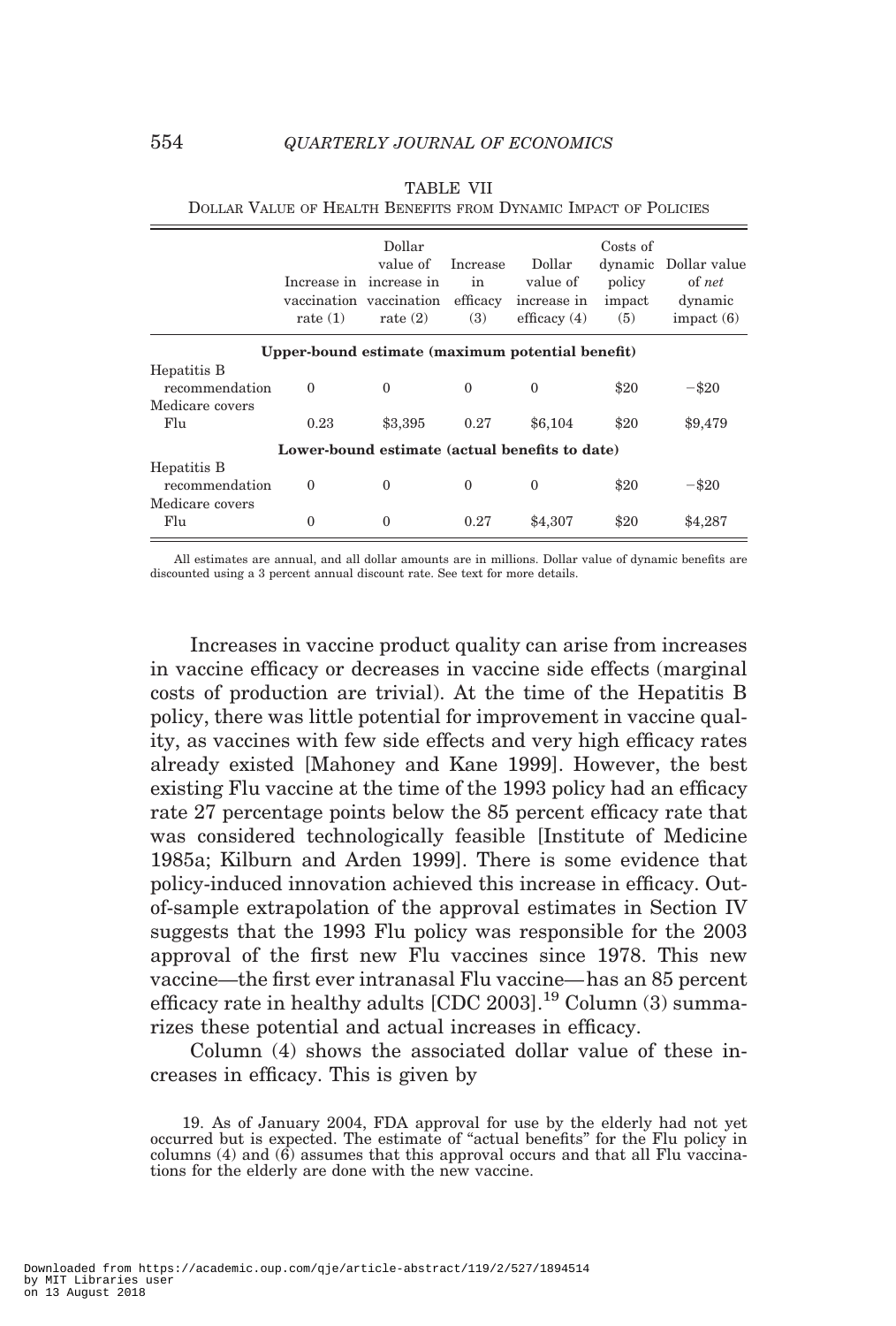|                                                  | rate $(1)$                                       | Dollar<br>value of<br>Increase in increase in<br>vaccination vaccination<br>rate $(2)$ | Increase<br>in<br>efficacy<br>(3) | Dollar<br>value of<br>increase in<br>efficacy $(4)$ | Costs of<br>dynamic<br>policy<br>impact<br>(5) | Dollar value<br>of <i>net</i><br>dynamic<br>impact (6) |
|--------------------------------------------------|--------------------------------------------------|----------------------------------------------------------------------------------------|-----------------------------------|-----------------------------------------------------|------------------------------------------------|--------------------------------------------------------|
|                                                  | Upper-bound estimate (maximum potential benefit) |                                                                                        |                                   |                                                     |                                                |                                                        |
| Hepatitis B<br>recommendation<br>Medicare covers | $\Omega$                                         | $\Omega$                                                                               | $\Omega$                          | $\mathbf{0}$                                        | \$20                                           | $-\$20$                                                |
| Flu                                              | 0.23                                             | \$3,395                                                                                | 0.27                              | \$6,104                                             | \$20                                           | \$9,479                                                |
|                                                  | Lower-bound estimate (actual benefits to date)   |                                                                                        |                                   |                                                     |                                                |                                                        |
| Hepatitis B<br>recommendation<br>Medicare covers | $\Omega$                                         | $\Omega$                                                                               | $\Omega$                          | $\Omega$                                            | \$20                                           | -\$20                                                  |
| Flu                                              | 0                                                | $\Omega$                                                                               | 0.27                              | \$4,307                                             | \$20                                           | \$4,287                                                |

#### TABLE VII

DOLLAR VALUE OF HEALTH BENEFITS FROM DYNAMIC IMPACT OF POLICIES

All estimates are annual, and all dollar amounts are in millions. Dollar value of dynamic benefits are discounted using a 3 percent annual discount rate. See text for more details.

Increases in vaccine product quality can arise from increases in vaccine efficacy or decreases in vaccine side effects (marginal costs of production are trivial). At the time of the Hepatitis B policy, there was little potential for improvement in vaccine quality, as vaccines with few side effects and very high efficacy rates already existed [Mahoney and Kane 1999]. However, the best existing Flu vaccine at the time of the 1993 policy had an efficacy rate 27 percentage points below the 85 percent efficacy rate that was considered technologically feasible [Institute of Medicine 1985a; Kilburn and Arden 1999]. There is some evidence that policy-induced innovation achieved this increase in efficacy. Outof-sample extrapolation of the approval estimates in Section IV suggests that the 1993 Flu policy was responsible for the 2003 approval of the first new Flu vaccines since 1978. This new vaccine—the first ever intranasal Flu vaccine—has an 85 percent efficacy rate in healthy adults  $[CDC 2003]$ .<sup>19</sup> Column (3) summarizes these potential and actual increases in efficacy.

Column (4) shows the associated dollar value of these increases in efficacy. This is given by

<sup>19.</sup> As of January 2004, FDA approval for use by the elderly had not yet occurred but is expected. The estimate of "actual benefits" for the Flu policy in columns  $(4)$  and  $(6)$  assumes that this approval occurs and that all Flu vaccinations for the elderly are done with the new vaccine.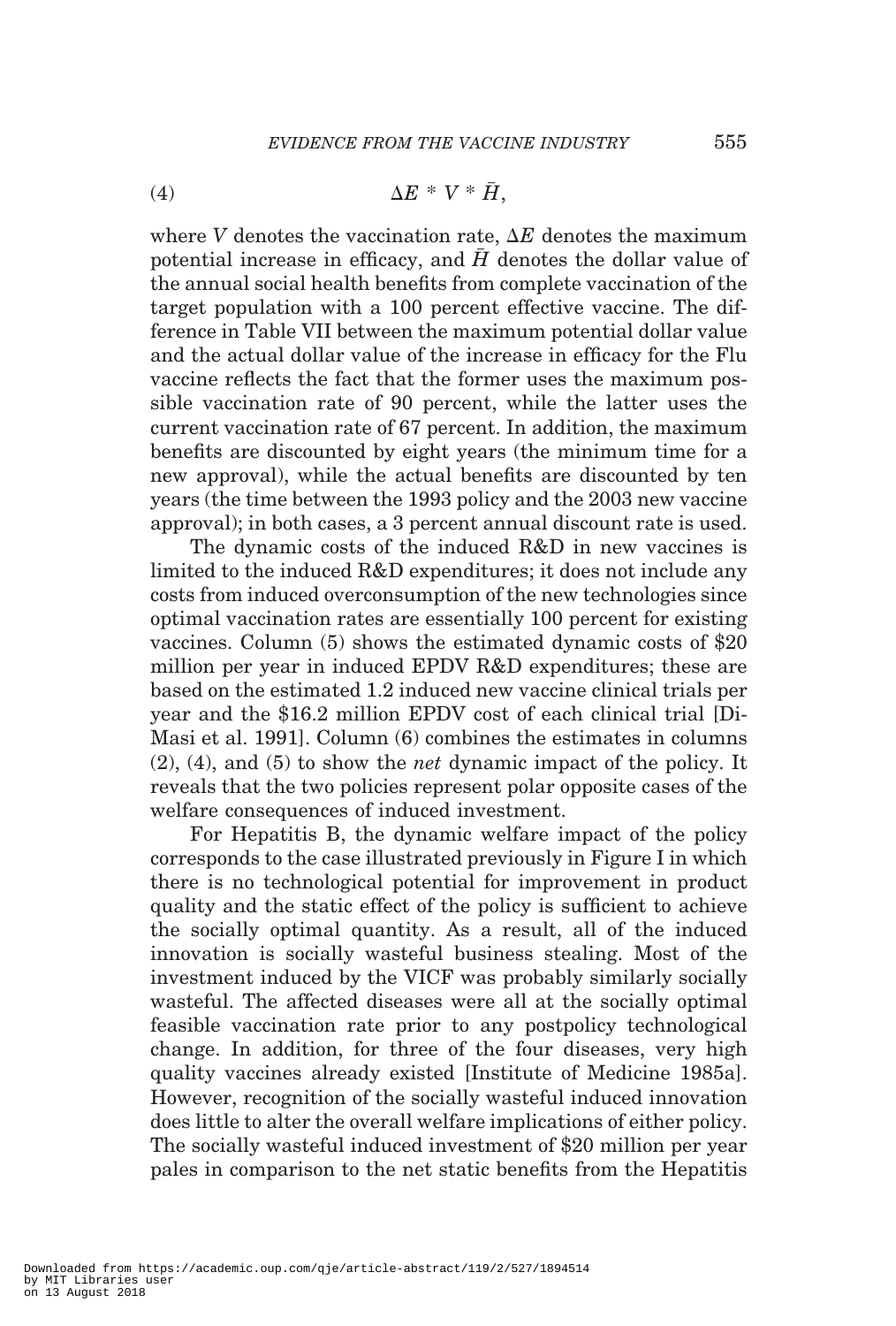$$
\Delta E * V * \bar{H},
$$

where *V* denotes the vaccination rate,  $\Delta E$  denotes the maximum potential increase in efficacy, and  $\bar{H}$  denotes the dollar value of the annual social health benefits from complete vaccination of the target population with a 100 percent effective vaccine. The difference in Table VII between the maximum potential dollar value and the actual dollar value of the increase in efficacy for the Flu vaccine reflects the fact that the former uses the maximum possible vaccination rate of 90 percent, while the latter uses the current vaccination rate of 67 percent. In addition, the maximum benefits are discounted by eight years (the minimum time for a new approval), while the actual benefits are discounted by ten years (the time between the 1993 policy and the 2003 new vaccine approval); in both cases, a 3 percent annual discount rate is used.

The dynamic costs of the induced R&D in new vaccines is limited to the induced R&D expenditures; it does not include any costs from induced overconsumption of the new technologies since optimal vaccination rates are essentially 100 percent for existing vaccines. Column (5) shows the estimated dynamic costs of \$20 million per year in induced EPDV R&D expenditures; these are based on the estimated 1.2 induced new vaccine clinical trials per year and the \$16.2 million EPDV cost of each clinical trial [Di-Masi et al. 1991]. Column (6) combines the estimates in columns (2), (4), and (5) to show the *net* dynamic impact of the policy. It reveals that the two policies represent polar opposite cases of the welfare consequences of induced investment.

For Hepatitis B, the dynamic welfare impact of the policy corresponds to the case illustrated previously in Figure I in which there is no technological potential for improvement in product quality and the static effect of the policy is sufficient to achieve the socially optimal quantity. As a result, all of the induced innovation is socially wasteful business stealing. Most of the investment induced by the VICF was probably similarly socially wasteful. The affected diseases were all at the socially optimal feasible vaccination rate prior to any postpolicy technological change. In addition, for three of the four diseases, very high quality vaccines already existed [Institute of Medicine 1985a]. However, recognition of the socially wasteful induced innovation does little to alter the overall welfare implications of either policy. The socially wasteful induced investment of \$20 million per year pales in comparison to the net static benefits from the Hepatitis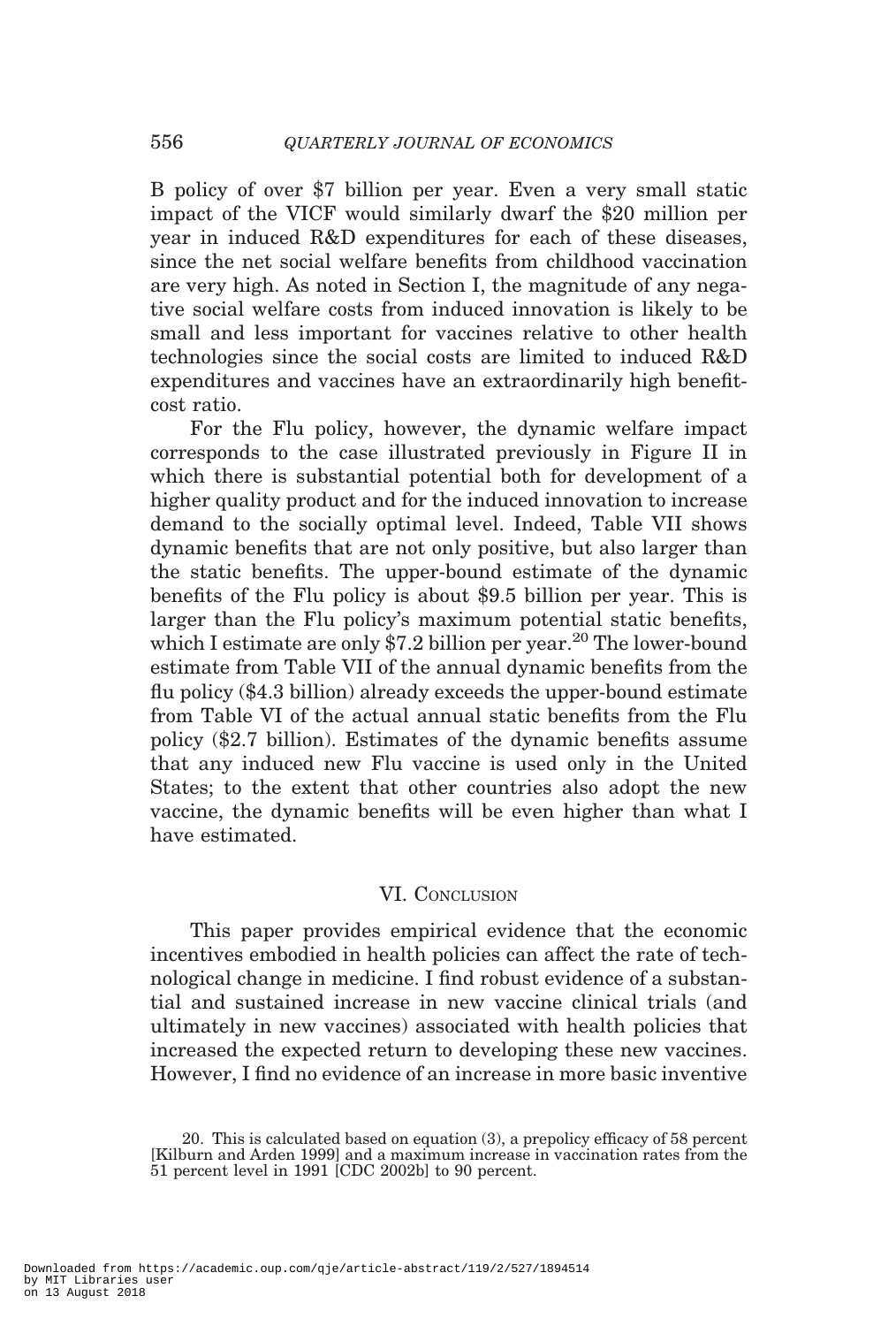B policy of over \$7 billion per year. Even a very small static impact of the VICF would similarly dwarf the \$20 million per year in induced R&D expenditures for each of these diseases, since the net social welfare benefits from childhood vaccination are very high. As noted in Section I, the magnitude of any negative social welfare costs from induced innovation is likely to be small and less important for vaccines relative to other health technologies since the social costs are limited to induced R&D expenditures and vaccines have an extraordinarily high benefitcost ratio.

For the Flu policy, however, the dynamic welfare impact corresponds to the case illustrated previously in Figure II in which there is substantial potential both for development of a higher quality product and for the induced innovation to increase demand to the socially optimal level. Indeed, Table VII shows dynamic benefits that are not only positive, but also larger than the static benefits. The upper-bound estimate of the dynamic benefits of the Flu policy is about \$9.5 billion per year. This is larger than the Flu policy's maximum potential static benefits, which I estimate are only \$7.2 billion per year.<sup>20</sup> The lower-bound estimate from Table VII of the annual dynamic benefits from the flu policy (\$4.3 billion) already exceeds the upper-bound estimate from Table VI of the actual annual static benefits from the Flu policy (\$2.7 billion). Estimates of the dynamic benefits assume that any induced new Flu vaccine is used only in the United States; to the extent that other countries also adopt the new vaccine, the dynamic benefits will be even higher than what I have estimated.

## VI. CONCLUSION

This paper provides empirical evidence that the economic incentives embodied in health policies can affect the rate of technological change in medicine. I find robust evidence of a substantial and sustained increase in new vaccine clinical trials (and ultimately in new vaccines) associated with health policies that increased the expected return to developing these new vaccines. However, I find no evidence of an increase in more basic inventive

<sup>20.</sup> This is calculated based on equation (3), a prepolicy efficacy of 58 percent [Kilburn and Arden 1999] and a maximum increase in vaccination rates from the 51 percent level in 1991 [CDC 2002b] to 90 percent.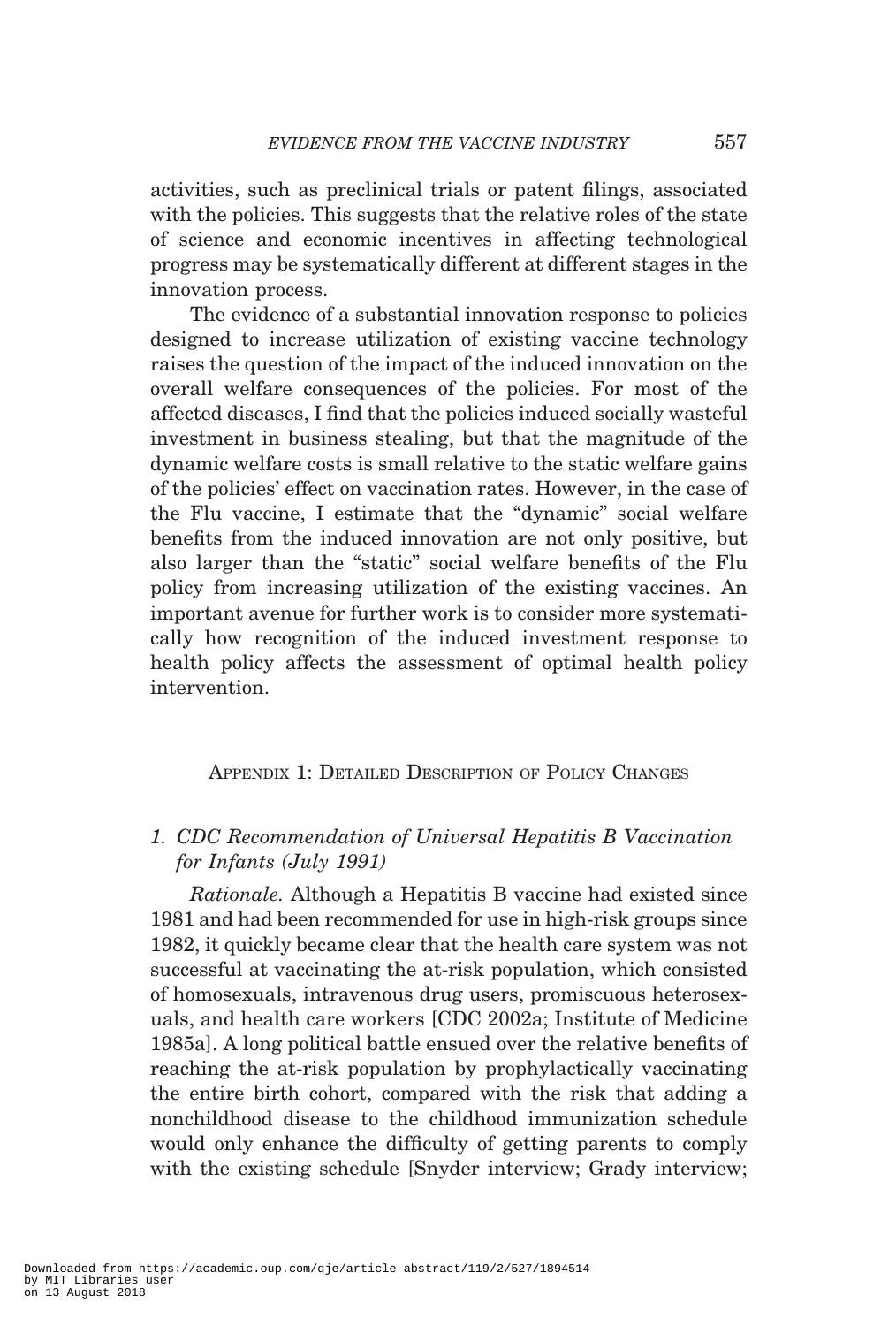activities, such as preclinical trials or patent filings, associated with the policies. This suggests that the relative roles of the state of science and economic incentives in affecting technological progress may be systematically different at different stages in the innovation process.

The evidence of a substantial innovation response to policies designed to increase utilization of existing vaccine technology raises the question of the impact of the induced innovation on the overall welfare consequences of the policies. For most of the affected diseases, I find that the policies induced socially wasteful investment in business stealing, but that the magnitude of the dynamic welfare costs is small relative to the static welfare gains of the policies' effect on vaccination rates. However, in the case of the Flu vaccine, I estimate that the "dynamic" social welfare benefits from the induced innovation are not only positive, but also larger than the "static" social welfare benefits of the Flu policy from increasing utilization of the existing vaccines. An important avenue for further work is to consider more systematically how recognition of the induced investment response to health policy affects the assessment of optimal health policy intervention.

APPENDIX 1: DETAILED DESCRIPTION OF POLICY CHANGES

# *1. CDC Recommendation of Universal Hepatitis B Vaccination for Infants (July 1991)*

*Rationale.* Although a Hepatitis B vaccine had existed since 1981 and had been recommended for use in high-risk groups since 1982, it quickly became clear that the health care system was not successful at vaccinating the at-risk population, which consisted of homosexuals, intravenous drug users, promiscuous heterosexuals, and health care workers [CDC 2002a; Institute of Medicine 1985a]. A long political battle ensued over the relative benefits of reaching the at-risk population by prophylactically vaccinating the entire birth cohort, compared with the risk that adding a nonchildhood disease to the childhood immunization schedule would only enhance the difficulty of getting parents to comply with the existing schedule [Snyder interview; Grady interview;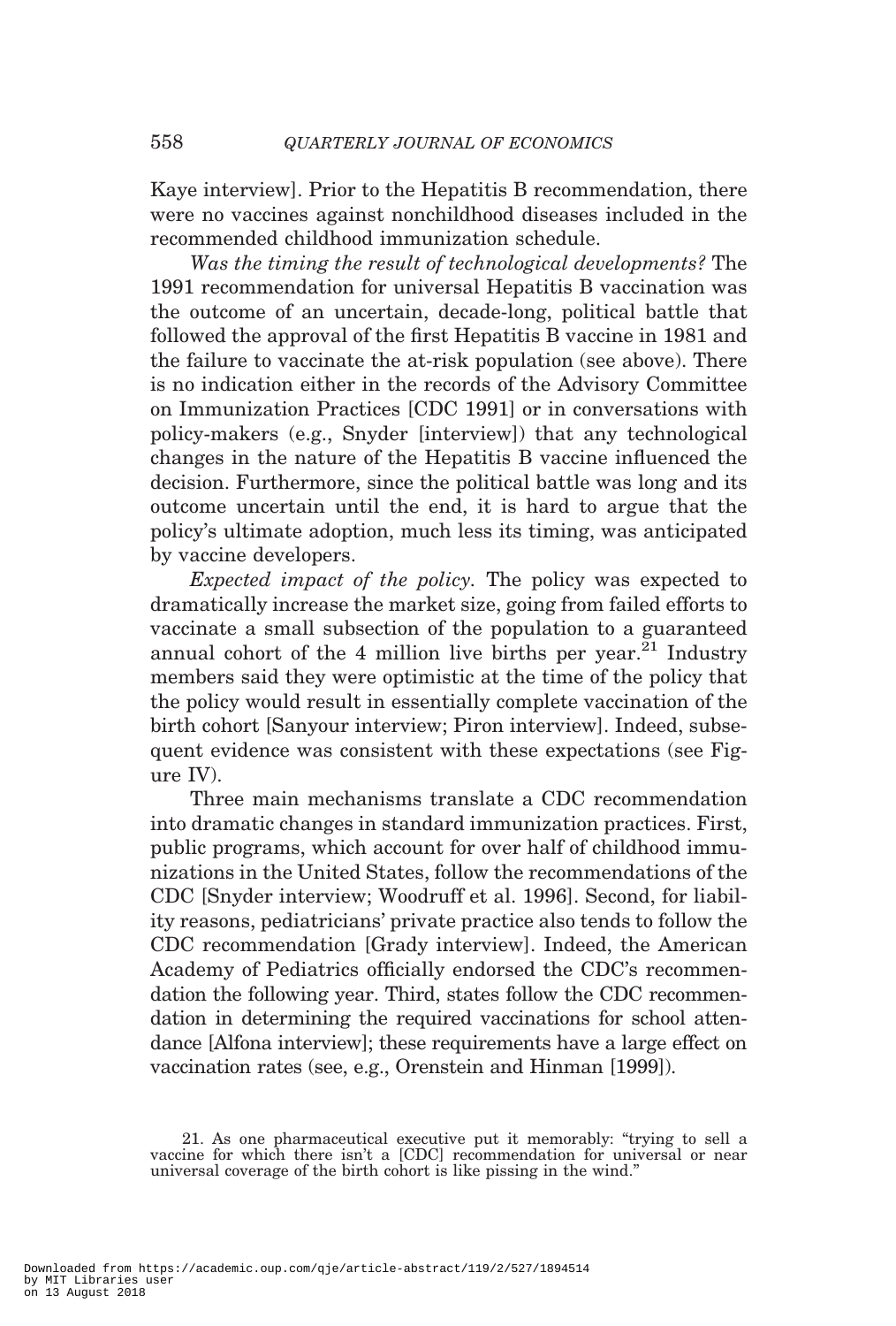Kaye interview]. Prior to the Hepatitis B recommendation, there were no vaccines against nonchildhood diseases included in the recommended childhood immunization schedule.

*Was the timing the result of technological developments?* The 1991 recommendation for universal Hepatitis B vaccination was the outcome of an uncertain, decade-long, political battle that followed the approval of the first Hepatitis B vaccine in 1981 and the failure to vaccinate the at-risk population (see above). There is no indication either in the records of the Advisory Committee on Immunization Practices [CDC 1991] or in conversations with policy-makers (e.g., Snyder [interview]) that any technological changes in the nature of the Hepatitis B vaccine influenced the decision. Furthermore, since the political battle was long and its outcome uncertain until the end, it is hard to argue that the policy's ultimate adoption, much less its timing, was anticipated by vaccine developers.

*Expected impact of the policy.* The policy was expected to dramatically increase the market size, going from failed efforts to vaccinate a small subsection of the population to a guaranteed annual cohort of the 4 million live births per year.<sup>21</sup> Industry members said they were optimistic at the time of the policy that the policy would result in essentially complete vaccination of the birth cohort [Sanyour interview; Piron interview]. Indeed, subsequent evidence was consistent with these expectations (see Figure IV).

Three main mechanisms translate a CDC recommendation into dramatic changes in standard immunization practices. First, public programs, which account for over half of childhood immunizations in the United States, follow the recommendations of the CDC [Snyder interview; Woodruff et al. 1996]. Second, for liability reasons, pediatricians' private practice also tends to follow the CDC recommendation [Grady interview]. Indeed, the American Academy of Pediatrics officially endorsed the CDC's recommendation the following year. Third, states follow the CDC recommendation in determining the required vaccinations for school attendance [Alfona interview]; these requirements have a large effect on vaccination rates (see, e.g., Orenstein and Hinman [1999]).

<sup>21.</sup> As one pharmaceutical executive put it memorably: "trying to sell a vaccine for which there isn't a [CDC] recommendation for universal or near universal coverage of the birth cohort is like pissing in the wind."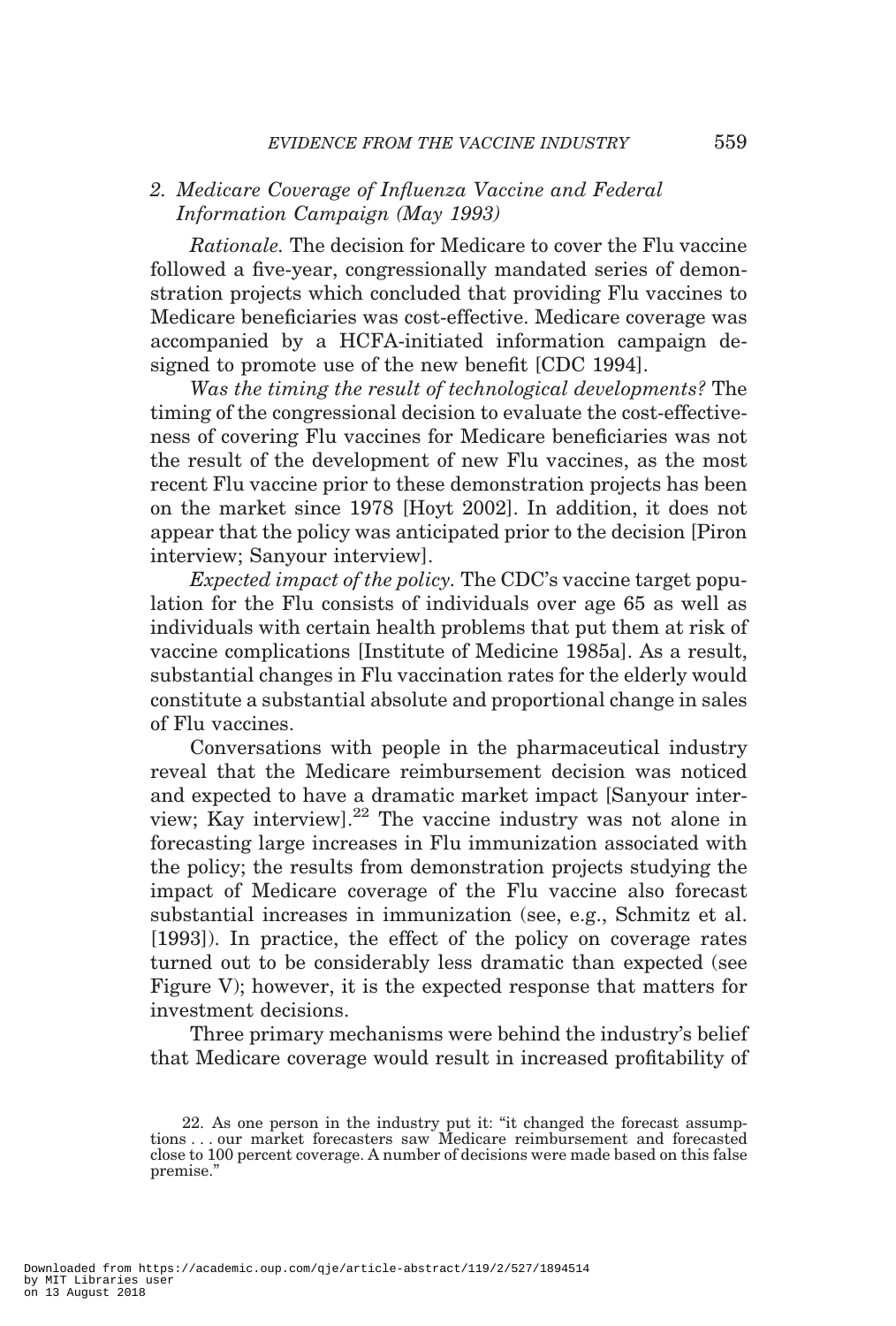## *2. Medicare Coverage of Influenza Vaccine and Federal Information Campaign (May 1993)*

*Rationale.* The decision for Medicare to cover the Flu vaccine followed a five-year, congressionally mandated series of demonstration projects which concluded that providing Flu vaccines to Medicare beneficiaries was cost-effective. Medicare coverage was accompanied by a HCFA-initiated information campaign designed to promote use of the new benefit [CDC 1994].

*Was the timing the result of technological developments?* The timing of the congressional decision to evaluate the cost-effectiveness of covering Flu vaccines for Medicare beneficiaries was not the result of the development of new Flu vaccines, as the most recent Flu vaccine prior to these demonstration projects has been on the market since 1978 [Hoyt 2002]. In addition, it does not appear that the policy was anticipated prior to the decision [Piron interview; Sanyour interview].

*Expected impact of the policy.* The CDC's vaccine target population for the Flu consists of individuals over age 65 as well as individuals with certain health problems that put them at risk of vaccine complications [Institute of Medicine 1985a]. As a result, substantial changes in Flu vaccination rates for the elderly would constitute a substantial absolute and proportional change in sales of Flu vaccines.

Conversations with people in the pharmaceutical industry reveal that the Medicare reimbursement decision was noticed and expected to have a dramatic market impact [Sanyour interview; Kay interview].<sup>22</sup> The vaccine industry was not alone in forecasting large increases in Flu immunization associated with the policy; the results from demonstration projects studying the impact of Medicare coverage of the Flu vaccine also forecast substantial increases in immunization (see, e.g., Schmitz et al. [1993]). In practice, the effect of the policy on coverage rates turned out to be considerably less dramatic than expected (see Figure V); however, it is the expected response that matters for investment decisions.

Three primary mechanisms were behind the industry's belief that Medicare coverage would result in increased profitability of

<sup>22.</sup> As one person in the industry put it: "it changed the forecast assumptions . . . our market forecasters saw Medicare reimbursement and forecasted close to 100 percent coverage. A number of decisions were made based on this false premise."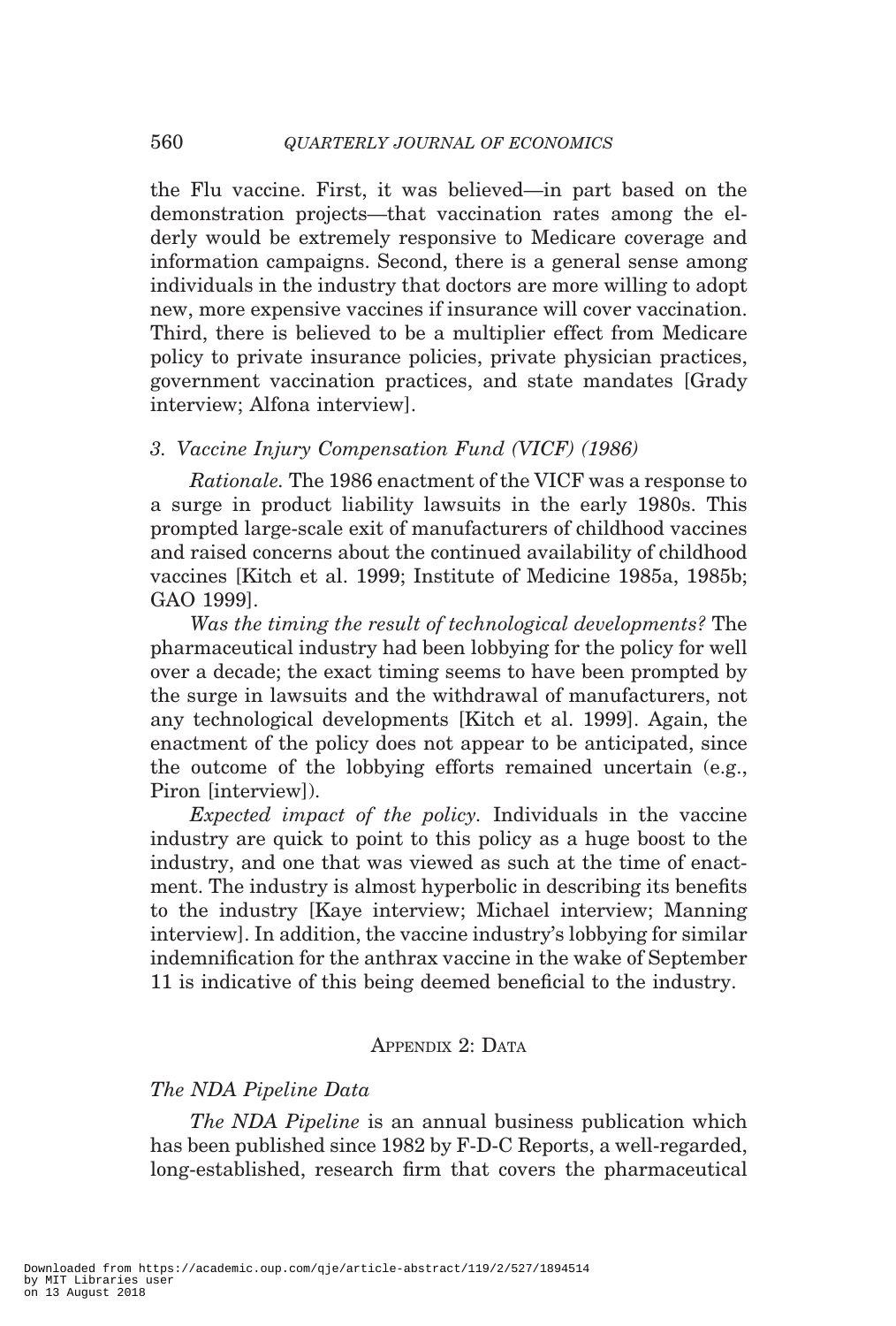the Flu vaccine. First, it was believed—in part based on the demonstration projects—that vaccination rates among the elderly would be extremely responsive to Medicare coverage and information campaigns. Second, there is a general sense among individuals in the industry that doctors are more willing to adopt new, more expensive vaccines if insurance will cover vaccination. Third, there is believed to be a multiplier effect from Medicare policy to private insurance policies, private physician practices, government vaccination practices, and state mandates [Grady interview; Alfona interview].

### *3. Vaccine Injury Compensation Fund (VICF) (1986)*

*Rationale.* The 1986 enactment of the VICF was a response to a surge in product liability lawsuits in the early 1980s. This prompted large-scale exit of manufacturers of childhood vaccines and raised concerns about the continued availability of childhood vaccines [Kitch et al. 1999; Institute of Medicine 1985a, 1985b; GAO 1999].

*Was the timing the result of technological developments?* The pharmaceutical industry had been lobbying for the policy for well over a decade; the exact timing seems to have been prompted by the surge in lawsuits and the withdrawal of manufacturers, not any technological developments [Kitch et al. 1999]. Again, the enactment of the policy does not appear to be anticipated, since the outcome of the lobbying efforts remained uncertain (e.g., Piron [interview]).

*Expected impact of the policy.* Individuals in the vaccine industry are quick to point to this policy as a huge boost to the industry, and one that was viewed as such at the time of enactment. The industry is almost hyperbolic in describing its benefits to the industry [Kaye interview; Michael interview; Manning interview]. In addition, the vaccine industry's lobbying for similar indemnification for the anthrax vaccine in the wake of September 11 is indicative of this being deemed beneficial to the industry.

## APPENDIX 2: DATA

### *The NDA Pipeline Data*

*The NDA Pipeline* is an annual business publication which has been published since 1982 by F-D-C Reports, a well-regarded, long-established, research firm that covers the pharmaceutical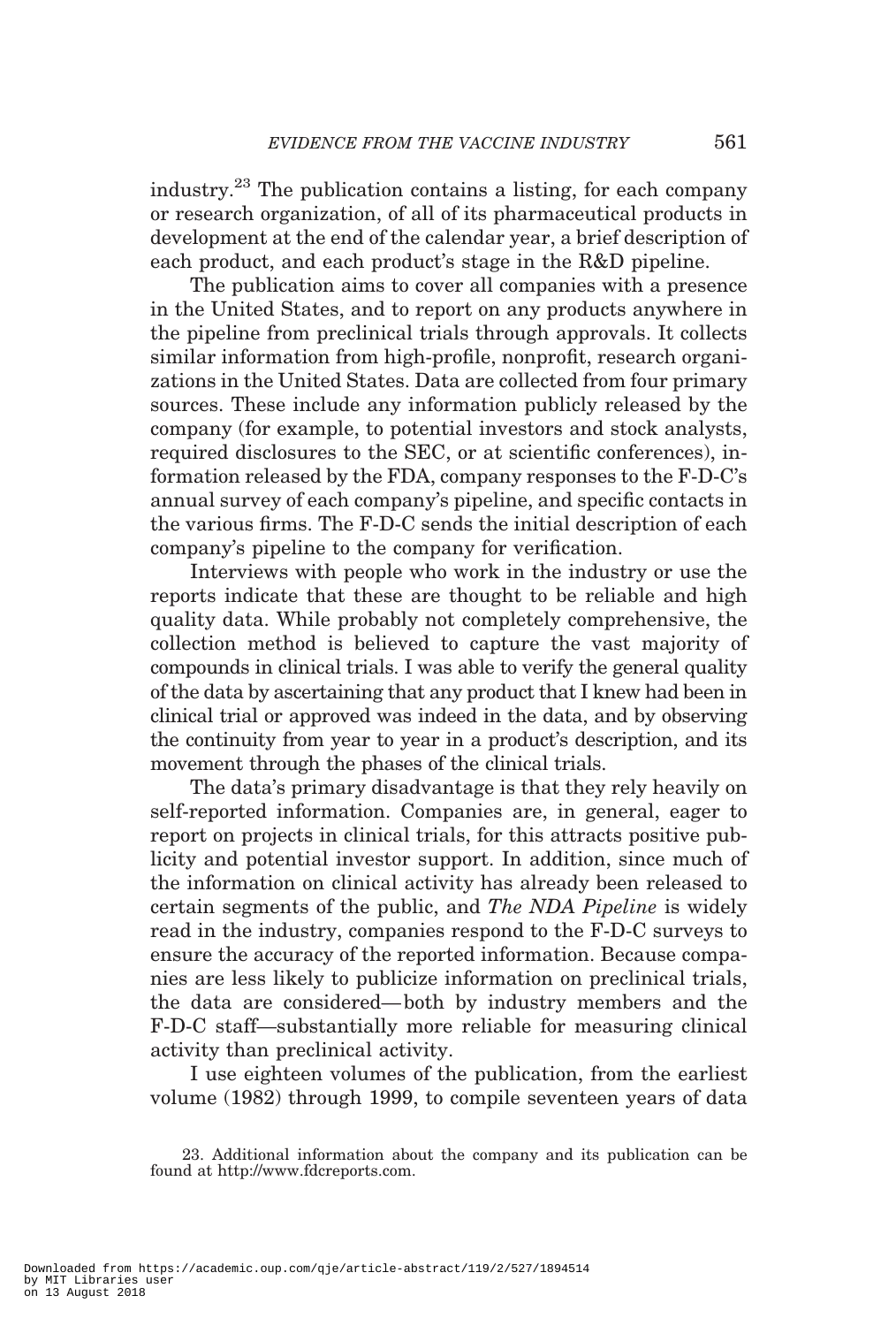industry.<sup>23</sup> The publication contains a listing, for each company or research organization, of all of its pharmaceutical products in development at the end of the calendar year, a brief description of each product, and each product's stage in the R&D pipeline.

The publication aims to cover all companies with a presence in the United States, and to report on any products anywhere in the pipeline from preclinical trials through approvals. It collects similar information from high-profile, nonprofit, research organizations in the United States. Data are collected from four primary sources. These include any information publicly released by the company (for example, to potential investors and stock analysts, required disclosures to the SEC, or at scientific conferences), information released by the FDA, company responses to the F-D-C's annual survey of each company's pipeline, and specific contacts in the various firms. The F-D-C sends the initial description of each company's pipeline to the company for verification.

Interviews with people who work in the industry or use the reports indicate that these are thought to be reliable and high quality data. While probably not completely comprehensive, the collection method is believed to capture the vast majority of compounds in clinical trials. I was able to verify the general quality of the data by ascertaining that any product that I knew had been in clinical trial or approved was indeed in the data, and by observing the continuity from year to year in a product's description, and its movement through the phases of the clinical trials.

The data's primary disadvantage is that they rely heavily on self-reported information. Companies are, in general, eager to report on projects in clinical trials, for this attracts positive publicity and potential investor support. In addition, since much of the information on clinical activity has already been released to certain segments of the public, and *The NDA Pipeline* is widely read in the industry, companies respond to the F-D-C surveys to ensure the accuracy of the reported information. Because companies are less likely to publicize information on preclinical trials, the data are considered— both by industry members and the F-D-C staff—substantially more reliable for measuring clinical activity than preclinical activity.

I use eighteen volumes of the publication, from the earliest volume (1982) through 1999, to compile seventeen years of data

<sup>23.</sup> Additional information about the company and its publication can be found at http://www.fdcreports.com.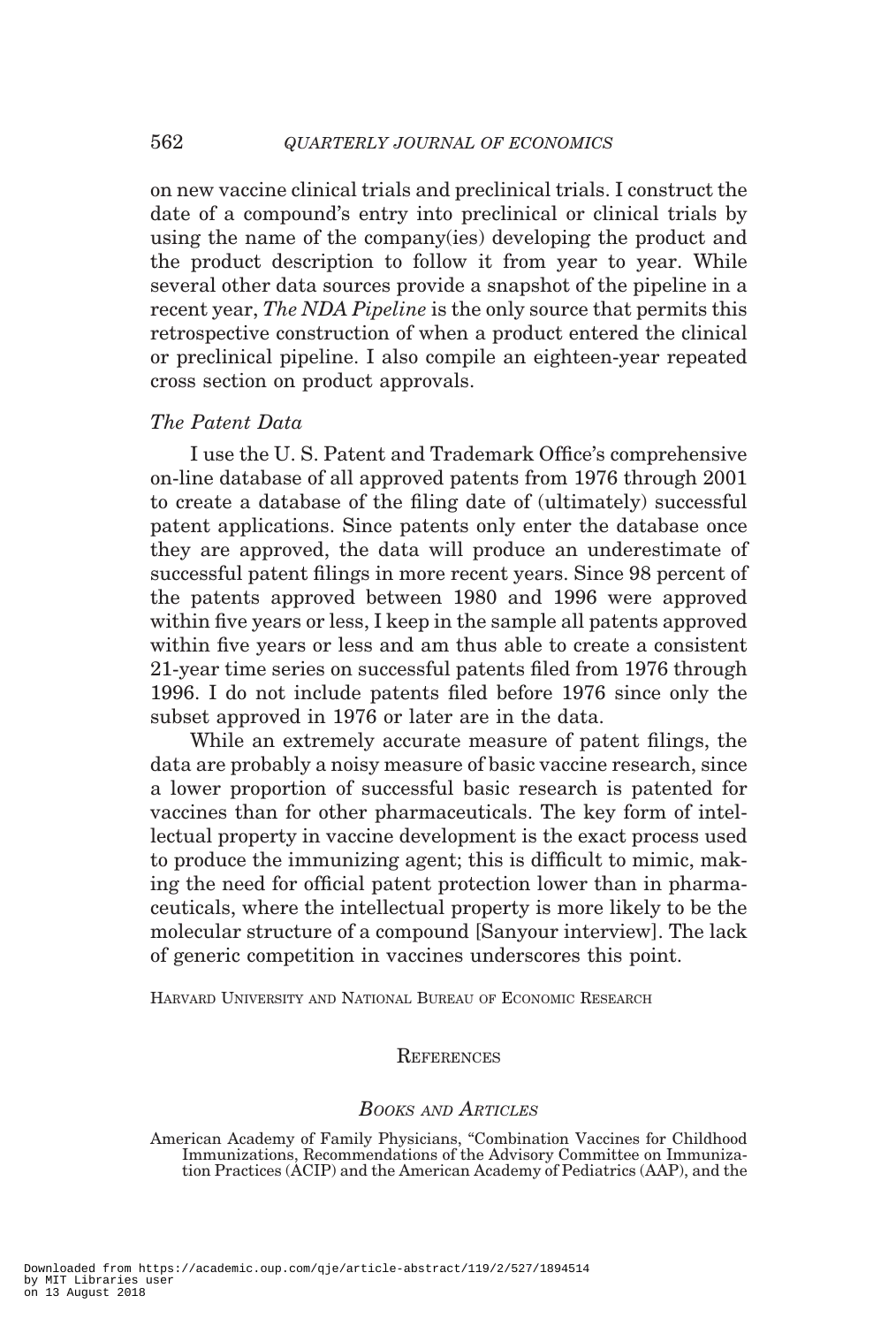on new vaccine clinical trials and preclinical trials. I construct the date of a compound's entry into preclinical or clinical trials by using the name of the company(ies) developing the product and the product description to follow it from year to year. While several other data sources provide a snapshot of the pipeline in a recent year, *The NDA Pipeline* is the only source that permits this retrospective construction of when a product entered the clinical or preclinical pipeline. I also compile an eighteen-year repeated cross section on product approvals.

## *The Patent Data*

I use the U. S. Patent and Trademark Office's comprehensive on-line database of all approved patents from 1976 through 2001 to create a database of the filing date of (ultimately) successful patent applications. Since patents only enter the database once they are approved, the data will produce an underestimate of successful patent filings in more recent years. Since 98 percent of the patents approved between 1980 and 1996 were approved within five years or less, I keep in the sample all patents approved within five years or less and am thus able to create a consistent 21-year time series on successful patents filed from 1976 through 1996. I do not include patents filed before 1976 since only the subset approved in 1976 or later are in the data.

While an extremely accurate measure of patent filings, the data are probably a noisy measure of basic vaccine research, since a lower proportion of successful basic research is patented for vaccines than for other pharmaceuticals. The key form of intellectual property in vaccine development is the exact process used to produce the immunizing agent; this is difficult to mimic, making the need for official patent protection lower than in pharmaceuticals, where the intellectual property is more likely to be the molecular structure of a compound [Sanyour interview]. The lack of generic competition in vaccines underscores this point.

HARVARD UNIVERSITY AND NATIONAL BUREAU OF ECONOMIC RESEARCH

#### **REFERENCES**

### *BOOKS AND ARTICLES*

American Academy of Family Physicians, "Combination Vaccines for Childhood Immunizations, Recommendations of the Advisory Committee on Immunization Practices (ACIP) and the American Academy of Pediatrics (AAP), and the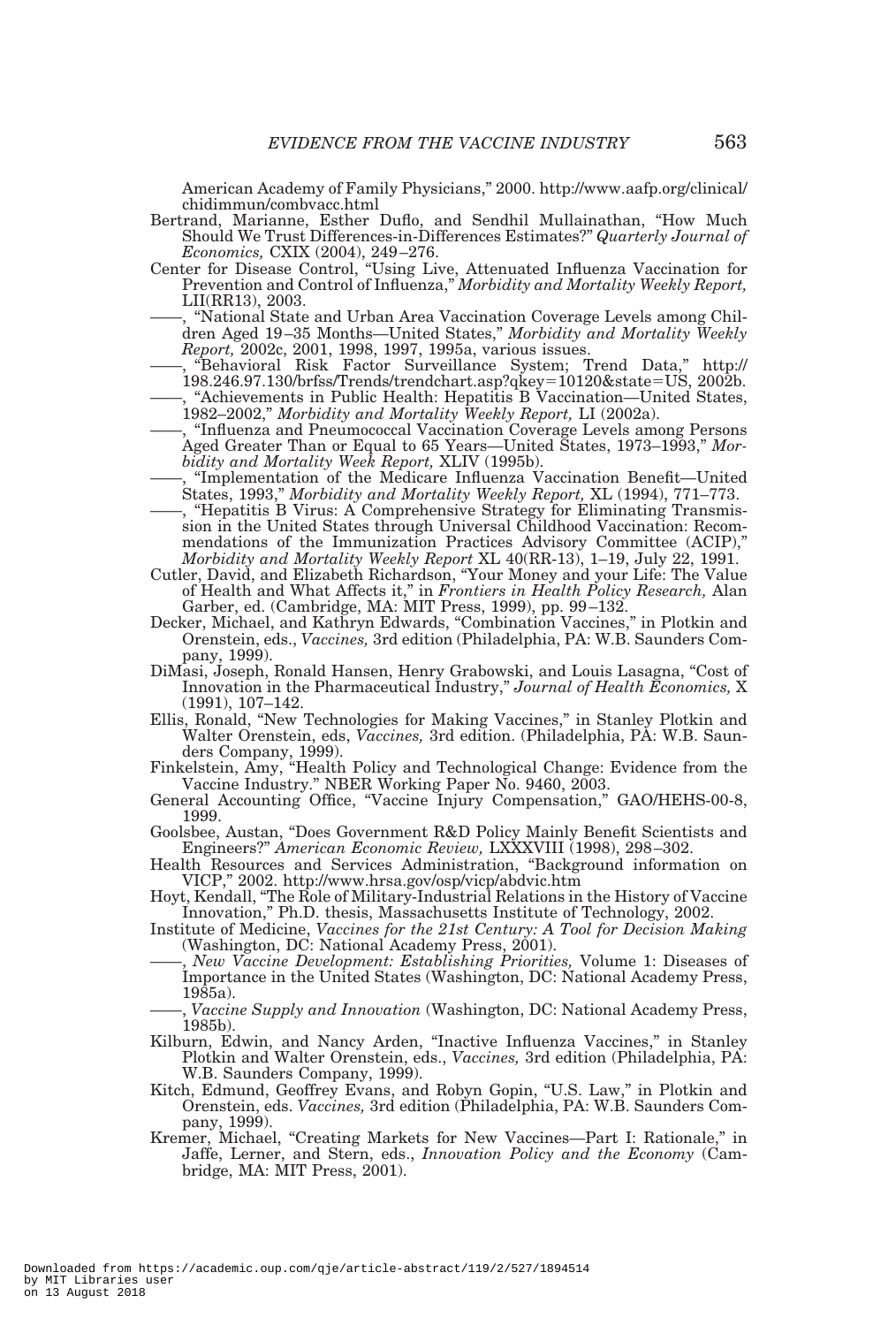American Academy of Family Physicians," 2000. http://www.aafp.org/clinical/ chidimmun/combvacc.html

- Bertrand, Marianne, Esther Duflo, and Sendhil Mullainathan, "How Much Should We Trust Differences-in-Differences Estimates?" *Quarterly Journal of Economics,* CXIX (2004), 249 –276.
- Center for Disease Control, "Using Live, Attenuated Influenza Vaccination for Prevention and Control of Influenza," *Morbidity and Mortality Weekly Report,* LII(RR13), 2003.
- "National State and Urban Area Vaccination Coverage Levels among Children Aged 19 –35 Months—United States," *Morbidity and Mortality Weekly Report,* 2002c, 2001, 1998, 1997, 1995a, various issues.
- ——, "Behavioral Risk Factor Surveillance System; Trend Data," http:// 198.246.97.130/brfss/Trends/trendchart.asp?qkey 10120&state US, 2002b.
- "Achievements in Public Health: Hepatitis B Vaccination—United States, 1982–2002," *Morbidity and Mortality Weekly Report,* LI (2002a).
- ——, "Influenza and Pneumococcal Vaccination Coverage Levels among Persons Aged Greater Than or Equal to 65 Years—United States, 1973–1993," *Morbidity and Mortality Week Report,* XLIV (1995b).
- ——, "Implementation of the Medicare Influenza Vaccination Benefit—United States, 1993," *Morbidity and Mortality Weekly Report,* XL (1994), 771–773.
- ——, "Hepatitis B Virus: A Comprehensive Strategy for Eliminating Transmission in the United States through Universal Childhood Vaccination: Recommendations of the Immunization Practices Advisory Committee (ACIP)," *Morbidity and Mortality Weekly Report* XL 40(RR-13), 1–19, July 22, 1991.
- Cutler, David, and Elizabeth Richardson, "Your Money and your Life: The Value of Health and What Affects it," in *Frontiers in Health Policy Research,* Alan Garber, ed. (Cambridge, MA: MIT Press, 1999), pp. 99 –132.
- Decker, Michael, and Kathryn Edwards, "Combination Vaccines," in Plotkin and Orenstein, eds., *Vaccines,* 3rd edition (Philadelphia, PA: W.B. Saunders Company, 1999).
- DiMasi, Joseph, Ronald Hansen, Henry Grabowski, and Louis Lasagna, "Cost of Innovation in the Pharmaceutical Industry," *Journal of Health Economics,* X (1991), 107–142.
- Ellis, Ronald, "New Technologies for Making Vaccines," in Stanley Plotkin and Walter Orenstein, eds, *Vaccines,* 3rd edition. (Philadelphia, PA: W.B. Saunders Company, 1999).
- Finkelstein, Amy, "Health Policy and Technological Change: Evidence from the Vaccine Industry." NBER Working Paper No. 9460, 2003.
- General Accounting Office, "Vaccine Injury Compensation," GAO/HEHS-00-8, 1999.
- Goolsbee, Austan, "Does Government R&D Policy Mainly Benefit Scientists and Engineers?" *American Economic Review,* LXXXVIII (1998), 298 –302.
- Health Resources and Services Administration, "Background information on VICP," 2002. http://www.hrsa.gov/osp/vicp/abdvic.htm
- Hoyt, Kendall, "The Role of Military-Industrial Relations in the History of Vaccine Innovation," Ph.D. thesis, Massachusetts Institute of Technology, 2002.
- Institute of Medicine, *Vaccines for the 21st Century: A Tool for Decision Making* (Washington, DC: National Academy Press, 2001).
- ——, *New Vaccine Development: Establishing Priorities,* Volume 1: Diseases of Importance in the United States (Washington, DC: National Academy Press, 1985a).
- ——, *Vaccine Supply and Innovation* (Washington, DC: National Academy Press, 1985b).
- Kilburn, Edwin, and Nancy Arden, "Inactive Influenza Vaccines," in Stanley Plotkin and Walter Orenstein, eds., *Vaccines,* 3rd edition (Philadelphia, PA: W.B. Saunders Company, 1999).
- Kitch, Edmund, Geoffrey Evans, and Robyn Gopin, "U.S. Law," in Plotkin and Orenstein, eds. *Vaccines,* 3rd edition (Philadelphia, PA: W.B. Saunders Company, 1999).
- Kremer, Michael, "Creating Markets for New Vaccines—Part I: Rationale," in Jaffe, Lerner, and Stern, eds., *Innovation Policy and the Economy* (Cambridge, MA: MIT Press, 2001).